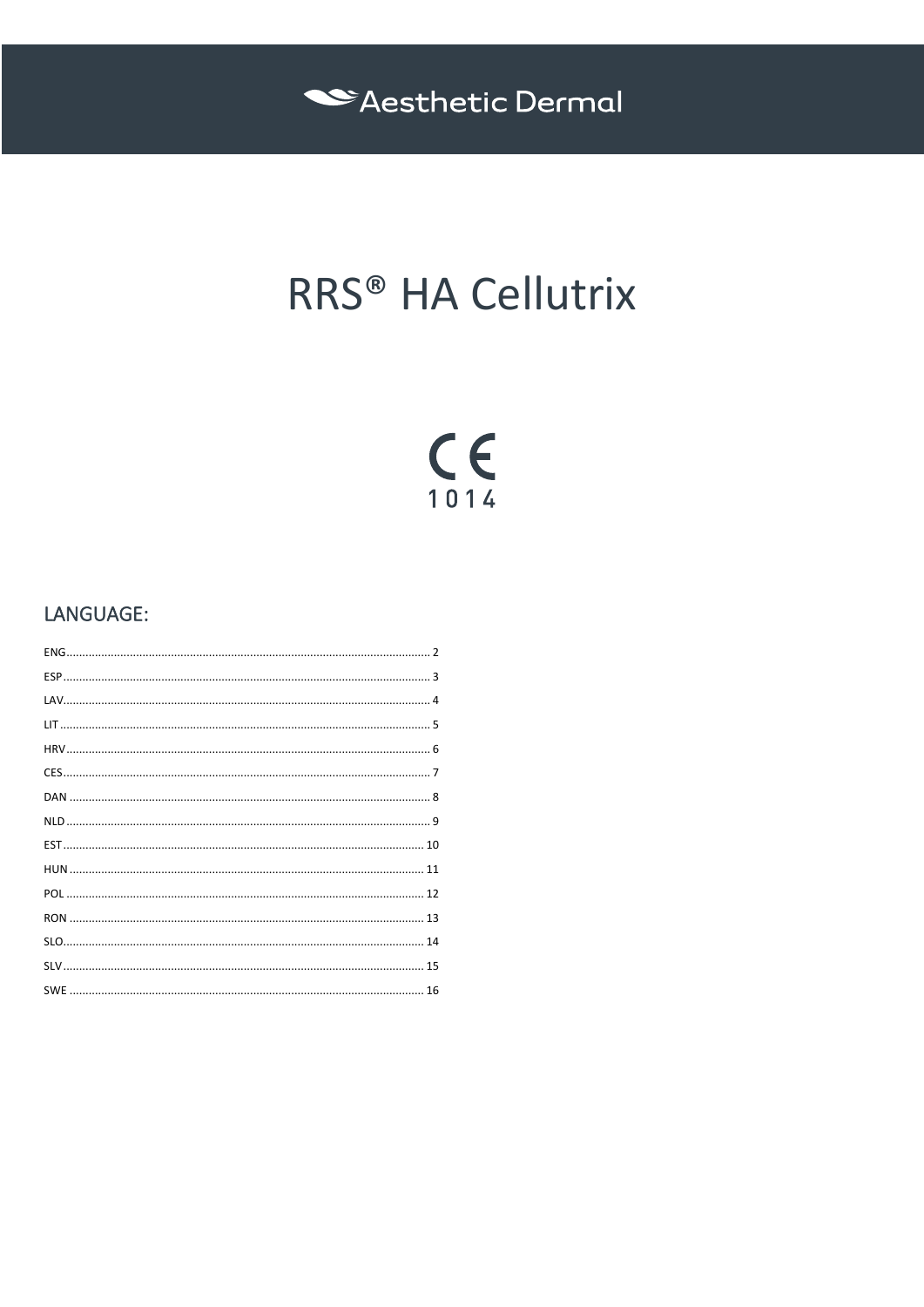

# RRS® HA Cellutrix

# $C_{1014}$

# LANGUAGE: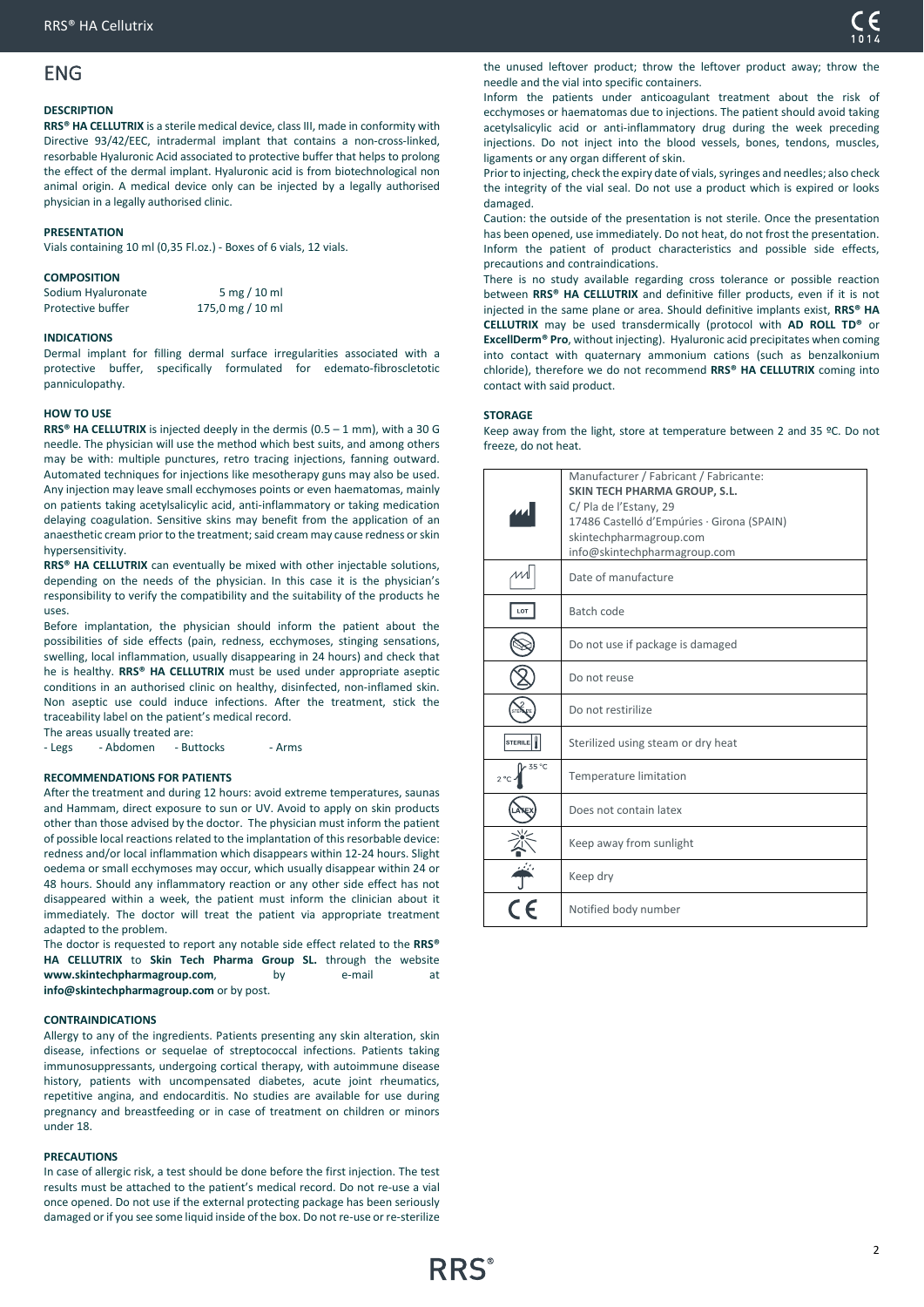# <span id="page-1-0"></span>ENG

### **DESCRIPTION**

**RRS® HA CELLUTRIX** is a sterile medical device, class III, made in conformity with Directive 93/42/EEC, intradermal implant that contains a non-cross-linked, resorbable Hyaluronic Acid associated to protective buffer that helps to prolong the effect of the dermal implant. Hyaluronic acid is from biotechnological non animal origin. A medical device only can be injected by a legally authorised physician in a legally authorised clinic.

### **PRESENTATION**

Vials containing 10 ml (0,35 Fl.oz.) - Boxes of 6 vials, 12 vials.

### **COMPOSITION**

| Sodium Hyaluronate | $5 \text{ mg} / 10 \text{ ml}$ |
|--------------------|--------------------------------|
| Protective buffer  | 175,0 mg / 10 ml               |

### **INDICATIONS**

Dermal implant for filling dermal surface irregularities associated with a protective buffer, specifically formulated for edemato-fibroscletotic panniculopathy.

### **HOW TO USE**

**RRS® HA CELLUTRIX** is injected deeply in the dermis (0.5 – 1 mm), with a 30 G needle. The physician will use the method which best suits, and among others may be with: multiple punctures, retro tracing injections, fanning outward. Automated techniques for injections like mesotherapy guns may also be used. Any injection may leave small ecchymoses points or even haematomas, mainly on patients taking acetylsalicylic acid, anti-inflammatory or taking medication delaying coagulation. Sensitive skins may benefit from the application of an anaesthetic cream prior to the treatment; said cream may cause redness or skin hypersensitivity.

**RRS® HA CELLUTRIX** can eventually be mixed with other injectable solutions, depending on the needs of the physician. In this case it is the physician's responsibility to verify the compatibility and the suitability of the products he uses.

Before implantation, the physician should inform the patient about the possibilities of side effects (pain, redness, ecchymoses, stinging sensations, swelling, local inflammation, usually disappearing in 24 hours) and check that he is healthy. **RRS® HA CELLUTRIX** must be used under appropriate aseptic conditions in an authorised clinic on healthy, disinfected, non-inflamed skin. Non aseptic use could induce infections. After the treatment, stick the traceability label on the patient's medical record. The areas usually treated are:

- Legs - Abdomen - Buttocks - Arms

**RECOMMENDATIONS FOR PATIENTS**

After the treatment and during 12 hours: avoid extreme temperatures, saunas and Hammam, direct exposure to sun or UV. Avoid to apply on skin products other than those advised by the doctor. The physician must inform the patient of possible local reactions related to the implantation of this resorbable device: redness and/or local inflammation which disappears within 12-24 hours. Slight oedema or small ecchymoses may occur, which usually disappear within 24 or 48 hours. Should any inflammatory reaction or any other side effect has not disappeared within a week, the patient must inform the clinician about it immediately. The doctor will treat the patient via appropriate treatment adapted to the problem.

The doctor is requested to report any notable side effect related to the **RRS® HA CELLUTRIX** to **Skin Tech Pharma Group SL.** through the website www.skintechpharmagroup.com, by e-mail at **info@skintechpharmagroup.com** or by post.

### **CONTRAINDICATIONS**

Allergy to any of the ingredients. Patients presenting any skin alteration, skin disease, infections or sequelae of streptococcal infections. Patients taking immunosuppressants, undergoing cortical therapy, with autoimmune disease history, patients with uncompensated diabetes, acute joint rheumatics, repetitive angina, and endocarditis. No studies are available for use during pregnancy and breastfeeding or in case of treatment on children or minors under 18.

### **PRECAUTIONS**

In case of allergic risk, a test should be done before the first injection. The test results must be attached to the patient's medical record. Do not re-use a vial once opened. Do not use if the external protecting package has been seriously damaged or if you see some liquid inside of the box. Do not re-use or re-sterilize the unused leftover product; throw the leftover product away; throw the needle and the vial into specific containers.

Inform the patients under anticoagulant treatment about the risk of ecchymoses or haematomas due to injections. The patient should avoid taking acetylsalicylic acid or anti-inflammatory drug during the week preceding injections. Do not inject into the blood vessels, bones, tendons, muscles, ligaments or any organ different of skin.

Prior to injecting, check the expiry date of vials, syringes and needles; also check the integrity of the vial seal. Do not use a product which is expired or looks damaged.

Caution: the outside of the presentation is not sterile. Once the presentation has been opened, use immediately. Do not heat, do not frost the presentation. Inform the patient of product characteristics and possible side effects, precautions and contraindications.

There is no study available regarding cross tolerance or possible reaction between **RRS® HA CELLUTRIX** and definitive filler products, even if it is not injected in the same plane or area. Should definitive implants exist, **RRS® HA CELLUTRIX** may be used transdermically (protocol with **AD ROLL TD®** or **ExcellDerm® Pro**, without injecting). Hyaluronic acid precipitates when coming into contact with quaternary ammonium cations (such as benzalkonium chloride), therefore we do not recommend **RRS® HA CELLUTRIX** coming into contact with said product.

### **STORAGE**

Keep away from the light, store at temperature between 2 and 35 ºC. Do not freeze, do not heat.

|                       | Manufacturer / Fabricant / Fabricante:                                |
|-----------------------|-----------------------------------------------------------------------|
|                       | SKIN TECH PHARMA GROUP, S.L.                                          |
|                       | C/ Pla de l'Estany, 29                                                |
|                       | 17486 Castelló d'Empúries · Girona (SPAIN)<br>skintechpharmagroup.com |
|                       | info@skintechpharmagroup.com                                          |
|                       | Date of manufacture                                                   |
| LOT                   | Batch code                                                            |
|                       | Do not use if package is damaged                                      |
|                       | Do not reuse                                                          |
|                       | Do not restirilize                                                    |
| <b>STERILE</b>        | Sterilized using steam or dry heat                                    |
| 35 °C<br>$2^{\circ}C$ | Temperature limitation                                                |
|                       | Does not contain latex                                                |
|                       | Keep away from sunlight                                               |
|                       | Keep dry                                                              |
|                       | Notified body number                                                  |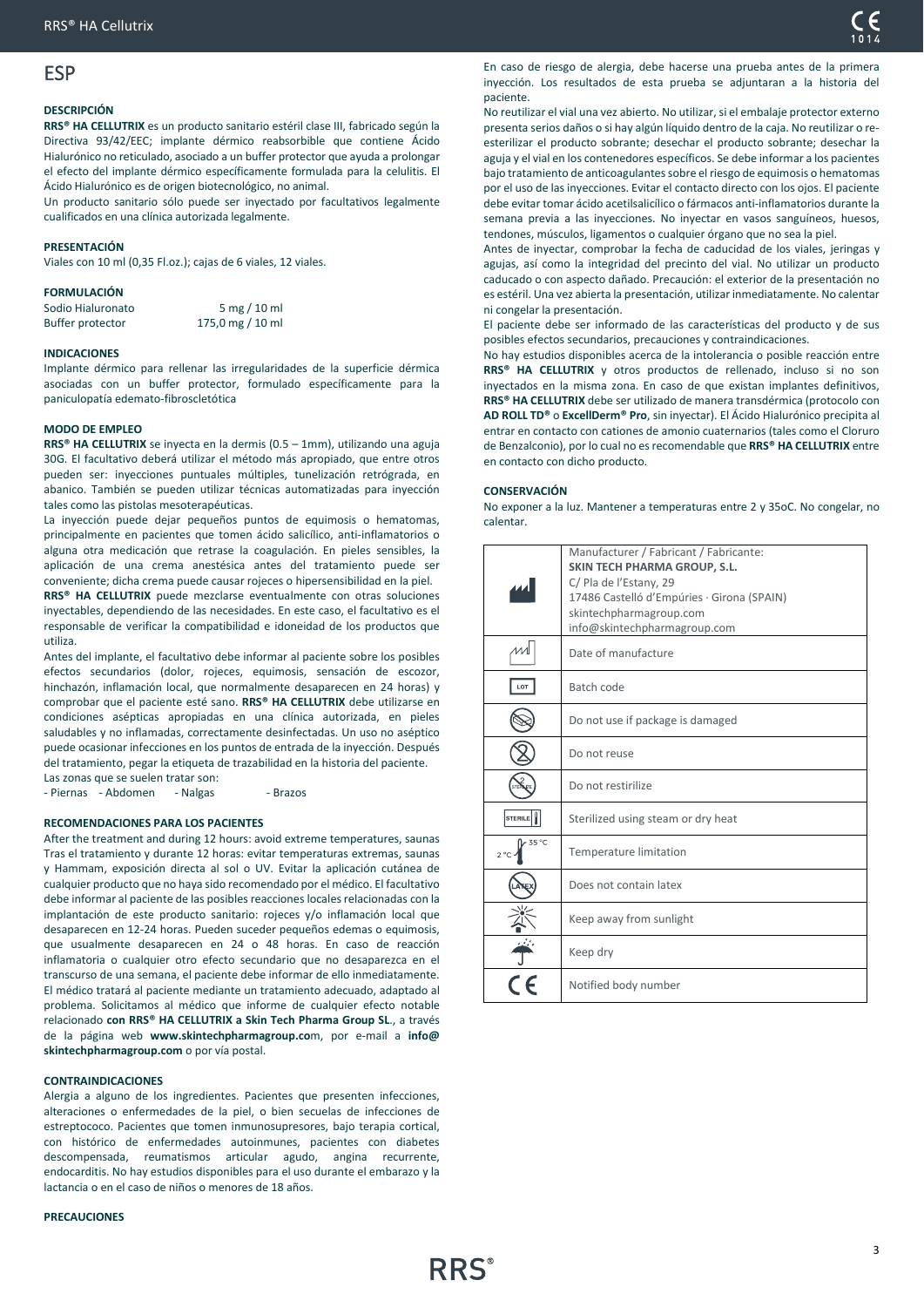# <span id="page-2-0"></span>ESP

### **DESCRIPCIÓN**

**RRS® HA CELLUTRIX** es un producto sanitario estéril clase III, fabricado según la Directiva 93/42/EEC; implante dérmico reabsorbible que contiene Ácido Hialurónico no reticulado, asociado a un buffer protector que ayuda a prolongar el efecto del implante dérmico específicamente formulada para la celulitis. El Ácido Hialurónico es de origen biotecnológico, no animal.

Un producto sanitario sólo puede ser inyectado por facultativos legalmente cualificados en una clínica autorizada legalmente.

### **PRESENTACIÓN**

Viales con 10 ml (0,35 Fl.oz.); cajas de 6 viales, 12 viales.

### **FORMULACIÓN**

| Sodio Hialuronato | $5 \text{ mg} / 10 \text{ ml}$ |
|-------------------|--------------------------------|
| Buffer protector  | 175,0 mg / 10 ml               |

### **INDICACIONES**

Implante dérmico para rellenar las irregularidades de la superficie dérmica asociadas con un buffer protector, formulado específicamente para la paniculopatía edemato-fibroscletótica

### **MODO DE EMPLEO**

**RRS® HA CELLUTRIX** se inyecta en la dermis (0.5 – 1mm), utilizando una aguja 30G. El facultativo deberá utilizar el método más apropiado, que entre otros pueden ser: inyecciones puntuales múltiples, tunelización retrógrada, en abanico. También se pueden utilizar técnicas automatizadas para inyección tales como las pistolas mesoterapéuticas.

La inyección puede dejar pequeños puntos de equimosis o hematomas, principalmente en pacientes que tomen ácido salicílico, anti-inflamatorios o alguna otra medicación que retrase la coagulación. En pieles sensibles, la aplicación de una crema anestésica antes del tratamiento puede ser conveniente; dicha crema puede causar rojeces o hipersensibilidad en la piel.

**RRS® HA CELLUTRIX** puede mezclarse eventualmente con otras soluciones inyectables, dependiendo de las necesidades. En este caso, el facultativo es el responsable de verificar la compatibilidad e idoneidad de los productos que utiliza.

Antes del implante, el facultativo debe informar al paciente sobre los posibles efectos secundarios (dolor, rojeces, equimosis, sensación de escozor, hinchazón, inflamación local, que normalmente desaparecen en 24 horas) y comprobar que el paciente esté sano. **RRS® HA CELLUTRIX** debe utilizarse en condiciones asépticas apropiadas en una clínica autorizada, en pieles saludables y no inflamadas, correctamente desinfectadas. Un uso no aséptico puede ocasionar infecciones en los puntos de entrada de la inyección. Después del tratamiento, pegar la etiqueta de trazabilidad en la historia del paciente. Las zonas que se suelen tratar son:

- Piernas - Abdomen - Nalgas - Brazos

### **RECOMENDACIONES PARA LOS PACIENTES**

After the treatment and during 12 hours: avoid extreme temperatures, saunas Tras el tratamiento y durante 12 horas: evitar temperaturas extremas, saunas y Hammam, exposición directa al sol o UV. Evitar la aplicación cutánea de cualquier producto que no haya sido recomendado por el médico. El facultativo debe informar al paciente de las posibles reacciones locales relacionadas con la implantación de este producto sanitario: rojeces y/o inflamación local que desaparecen en 12-24 horas. Pueden suceder pequeños edemas o equimosis, que usualmente desaparecen en 24 o 48 horas. En caso de reacción inflamatoria o cualquier otro efecto secundario que no desaparezca en el transcurso de una semana, el paciente debe informar de ello inmediatamente. El médico tratará al paciente mediante un tratamiento adecuado, adaptado al problema. Solicitamos al médico que informe de cualquier efecto notable relacionado **con RRS® HA CELLUTRIX a Skin Tech Pharma Group SL**., a través de la página web **www.skintechpharmagroup.co**m, por e-mail a **info@ skintechpharmagroup.com** o por vía postal.

### **CONTRAINDICACIONES**

Alergia a alguno de los ingredientes. Pacientes que presenten infecciones, alteraciones o enfermedades de la piel, o bien secuelas de infecciones de estreptococo. Pacientes que tomen inmunosupresores, bajo terapia cortical, con histórico de enfermedades autoinmunes, pacientes con diabetes descompensada, reumatismos articular agudo, angina recurrente, endocarditis. No hay estudios disponibles para el uso durante el embarazo y la lactancia o en el caso de niños o menores de 18 años.

### **PRECAUCIONES**

En caso de riesgo de alergia, debe hacerse una prueba antes de la primera inyección. Los resultados de esta prueba se adjuntaran a la historia del paciente.

No reutilizar el vial una vez abierto. No utilizar, si el embalaje protector externo presenta serios daños o si hay algún líquido dentro de la caja. No reutilizar o reesterilizar el producto sobrante; desechar el producto sobrante; desechar la aguja y el vial en los contenedores específicos. Se debe informar a los pacientes bajo tratamiento de anticoagulantes sobre el riesgo de equimosis o hematomas por el uso de las inyecciones. Evitar el contacto directo con los ojos. El paciente debe evitar tomar ácido acetilsalicílico o fármacos anti-inflamatorios durante la semana previa a las inyecciones. No inyectar en vasos sanguíneos, huesos, tendones, músculos, ligamentos o cualquier órgano que no sea la piel.

Antes de inyectar, comprobar la fecha de caducidad de los viales, jeringas y agujas, así como la integridad del precinto del vial. No utilizar un producto caducado o con aspecto dañado. Precaución: el exterior de la presentación no es estéril. Una vez abierta la presentación, utilizar inmediatamente. No calentar ni congelar la presentación.

El paciente debe ser informado de las características del producto y de sus posibles efectos secundarios, precauciones y contraindicaciones.

No hay estudios disponibles acerca de la intolerancia o posible reacción entre **RRS® HA CELLUTRIX** y otros productos de rellenado, incluso si no son inyectados en la misma zona. En caso de que existan implantes definitivos, **RRS® HA CELLUTRIX** debe ser utilizado de manera transdérmica (protocolo con **AD ROLL TD®** o **ExcellDerm® Pro**, sin inyectar). El Ácido Hialurónico precipita al entrar en contacto con cationes de amonio cuaternarios (tales como el Cloruro de Benzalconio), por lo cual no es recomendable que **RRS® HA CELLUTRIX** entre en contacto con dicho producto.

### **CONSERVACIÓN**

No exponer a la luz. Mantener a temperaturas entre 2 y 35oC. No congelar, no calentar.

|                       | Manufacturer / Fabricant / Fabricante:<br><b>SKIN TECH PHARMA GROUP, S.L.</b><br>C/ Pla de l'Estany, 29<br>17486 Castelló d'Empúries · Girona (SPAIN)<br>skintechpharmagroup.com<br>info@skintechpharmagroup.com |
|-----------------------|------------------------------------------------------------------------------------------------------------------------------------------------------------------------------------------------------------------|
|                       | Date of manufacture                                                                                                                                                                                              |
| LOT                   | Batch code                                                                                                                                                                                                       |
|                       | Do not use if package is damaged                                                                                                                                                                                 |
|                       | Do not reuse                                                                                                                                                                                                     |
|                       | Do not restirilize                                                                                                                                                                                               |
| <b>STERILE</b>        | Sterilized using steam or dry heat                                                                                                                                                                               |
| 35 °C<br>$2^{\circ}C$ | Temperature limitation                                                                                                                                                                                           |
|                       | Does not contain latex                                                                                                                                                                                           |
|                       | Keep away from sunlight                                                                                                                                                                                          |
|                       | Keep dry                                                                                                                                                                                                         |
|                       | Notified body number                                                                                                                                                                                             |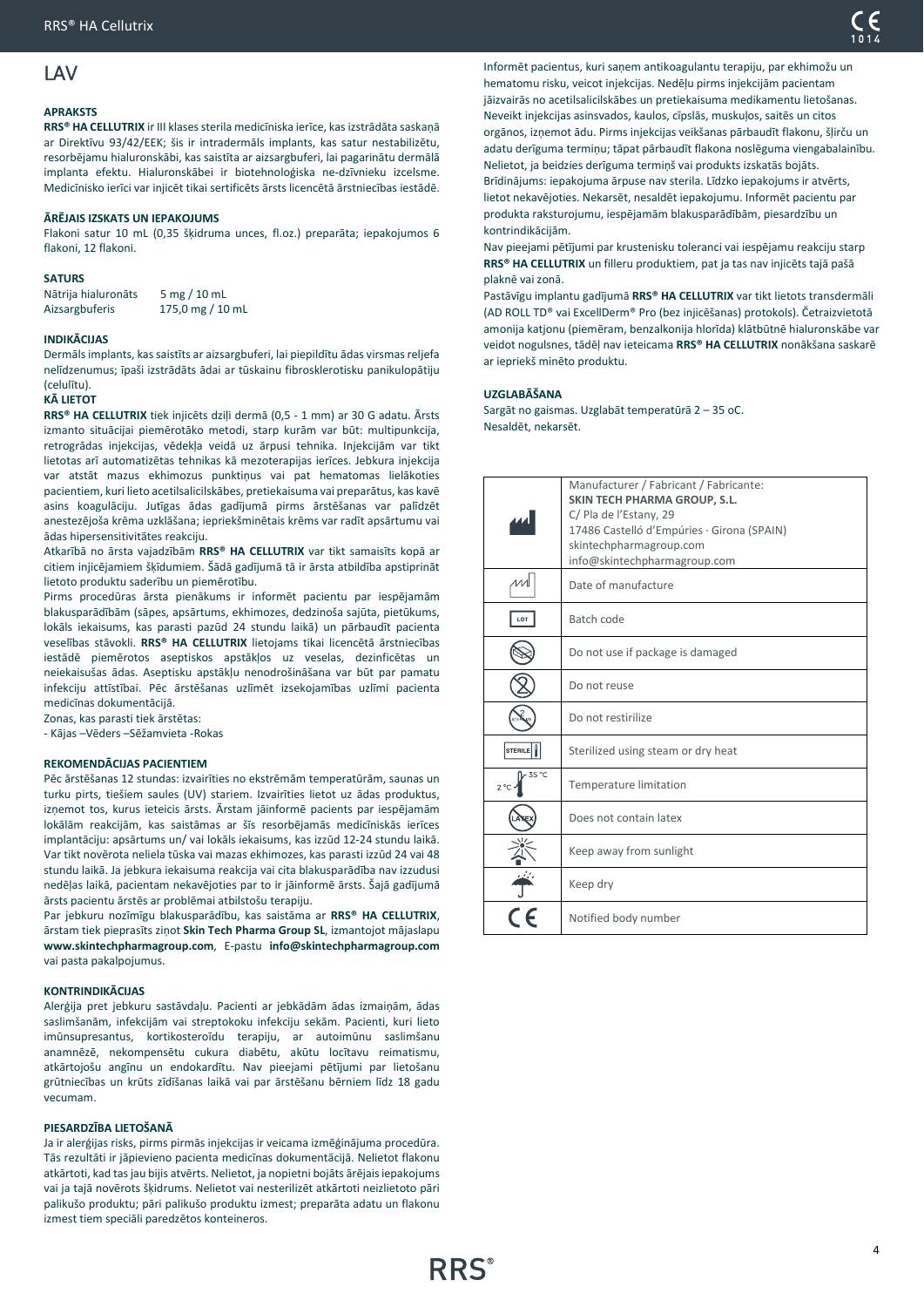# <span id="page-3-0"></span>LAV

### **APRAKSTS**

**RRS® HA CELLUTRIX** ir III klases sterila medicīniska ierīce, kas izstrādāta saskaņā ar Direktīvu 93/42/EEK; šis ir intradermāls implants, kas satur nestabilizētu, resorbējamu hialuronskābi, kas saistīta ar aizsargbuferi, lai pagarinātu dermālā implanta efektu. Hialuronskābei ir biotehnoloģiska ne-dzīvnieku izcelsme. Medicīnisko ierīci var injicēt tikai sertificēts ārsts licencētā ārstniecības iestādē.

### **ĀRĒJAIS IZSKATS UN IEPAKOJUMS**

Flakoni satur 10 mL (0,35 šķidruma unces, fl.oz.) preparāta; iepakojumos 6 flakoni, 12 flakoni.

### **SATURS**

Nātrija hialuronāts 5 mg / 10 mL Aizsargbuferis 175,0 mg / 10 mL

### **INDIKĀCIJAS**

Dermāls implants, kas saistīts ar aizsargbuferi, lai piepildītu ādas virsmas reljefa nelīdzenumus; īpaši izstrādāts ādai ar tūskainu fibrosklerotisku panikulopātiju (celulītu).

### **KĀ LIETOT**

**RRS® HA CELLUTRIX** tiek injicēts dziļi dermā (0,5 - 1 mm) ar 30 G adatu. Ārsts izmanto situācijai piemērotāko metodi, starp kurām var būt: multipunkcija, retrogrādas injekcijas, vēdekļa veidā uz ārpusi tehnika. Injekcijām var tikt lietotas arī automatizētas tehnikas kā mezoterapijas ierīces. Jebkura injekcija var atstāt mazus ekhimozus punktiņus vai pat hematomas lielākoties pacientiem, kuri lieto acetilsalicilskābes, pretiekaisuma vai preparātus, kas kavē asins koagulāciju. Jutīgas ādas gadījumā pirms ārstēšanas var palīdzēt anestezējoša krēma uzklāšana; iepriekšminētais krēms var radīt apsārtumu vai ādas hipersensitivitātes reakciju.

Atkarībā no ārsta vajadzībām **RRS® HA CELLUTRIX** var tikt samaisīts kopā ar citiem injicējamiem šķīdumiem. Šādā gadījumā tā ir ārsta atbildība apstiprināt lietoto produktu saderību un piemērotību.

Pirms procedūras ārsta pienākums ir informēt pacientu par iespējamām blakusparādībām (sāpes, apsārtums, ekhimozes, dedzinoša sajūta, pietūkums, lokāls iekaisums, kas parasti pazūd 24 stundu laikā) un pārbaudīt pacienta veselības stāvokli. **RRS® HA CELLUTRIX** lietojams tikai licencētā ārstniecības iestādē piemērotos aseptiskos apstākļos uz veselas, dezinficētas un neiekaisušas ādas. Aseptisku apstākļu nenodrošināšana var būt par pamatu infekciju attīstībai. Pēc ārstēšanas uzlīmēt izsekojamības uzlīmi pacienta medicīnas dokumentācijā.

Zonas, kas parasti tiek ārstētas:

- Kājas –Vēders –Sēžamvieta -Rokas

### **REKOMENDĀCIJAS PACIENTIEM**

Pēc ārstēšanas 12 stundas: izvairīties no ekstrēmām temperatūrām, saunas un turku pirts, tiešiem saules (UV) stariem. Izvairīties lietot uz ādas produktus, izņemot tos, kurus ieteicis ārsts. Ārstam jāinformē pacients par iespējamām lokālām reakcijām, kas saistāmas ar šīs resorbējamās medicīniskās ierīces implantāciju: apsārtums un/ vai lokāls iekaisums, kas izzūd 12-24 stundu laikā. Var tikt novērota neliela tūska vai mazas ekhimozes, kas parasti izzūd 24 vai 48 stundu laikā. Ja jebkura iekaisuma reakcija vai cita blakusparādība nav izzudusi nedēļas laikā, pacientam nekavējoties par to ir jāinformē ārsts. Šajā gadījumā ārsts pacientu ārstēs ar problēmai atbilstošu terapiju.

Par jebkuru nozīmīgu blakusparādību, kas saistāma ar **RRS® HA CELLUTRIX**, ārstam tiek pieprasīts ziņot **Skin Tech Pharma Group SL**, izmantojot mājaslapu **www.skintechpharmagroup.com**, E-pastu **info@skintechpharmagroup.com** vai pasta pakalpojumus.

### **KONTRINDIKĀCIJAS**

Alerģija pret jebkuru sastāvdaļu. Pacienti ar jebkādām ādas izmaiņām, ādas saslimšanām, infekcijām vai streptokoku infekciju sekām. Pacienti, kuri lieto imūnsupresantus, kortikosteroīdu terapiju, ar autoimūnu saslimšanu anamnēzē, nekompensētu cukura diabētu, akūtu locītavu reimatismu, atkārtojošu angīnu un endokardītu. Nav pieejami pētījumi par lietošanu grūtniecības un krūts zīdīšanas laikā vai par ārstēšanu bērniem līdz 18 gadu vecumam.

### **PIESARDZĪBA LIETOŠANĀ**

Ja ir alerģijas risks, pirms pirmās injekcijas ir veicama izmēģinājuma procedūra. Tās rezultāti ir jāpievieno pacienta medicīnas dokumentācijā. Nelietot flakonu atkārtoti, kad tas jau bijis atvērts. Nelietot, ja nopietni bojāts ārējais iepakojums vai ja tajā novērots šķidrums. Nelietot vai nesterilizēt atkārtoti neizlietoto pāri palikušo produktu; pāri palikušo produktu izmest; preparāta adatu un flakonu izmest tiem speciāli paredzētos konteineros.

Informēt pacientus, kuri saņem antikoagulantu terapiju, par ekhimožu un hematomu risku, veicot injekcijas. Nedēļu pirms injekcijām pacientam jāizvairās no acetilsalicilskābes un pretiekaisuma medikamentu lietošanas. Neveikt injekcijas asinsvados, kaulos, cīpslās, muskuļos, saitēs un citos orgānos, izņemot ādu. Pirms injekcijas veikšanas pārbaudīt flakonu, šļirču un adatu derīguma terminu; tāpat pārbaudīt flakona noslēguma viengabalainību. Nelietot, ja beidzies derīguma termiņš vai produkts izskatās bojāts. Brīdinājums: iepakojuma ārpuse nav sterila. Līdzko iepakojums ir atvērts, lietot nekavējoties. Nekarsēt, nesaldēt iepakojumu. Informēt pacientu par produkta raksturojumu, iespējamām blakusparādībām, piesardzību un kontrindikācijām.

Nav pieejami pētījumi par krustenisku toleranci vai iespējamu reakciju starp **RRS® HA CELLUTRIX** un filleru produktiem, pat ja tas nav injicēts tajā pašā plaknē vai zonā.

Pastāvīgu implantu gadījumā **RRS® HA CELLUTRIX** var tikt lietots transdermāli (AD ROLL TD® vai ExcellDerm® Pro (bez injicēšanas) protokols). Četraizvietotā amonija katjonu (piemēram, benzalkonija hlorīda) klātbūtnē hialuronskābe var veidot nogulsnes, tādēļ nav ieteicama **RRS® HA CELLUTRIX** nonākšana saskarē ar iepriekš minēto produktu.

### **UZGLABĀŠANA**

Sargāt no gaismas. Uzglabāt temperatūrā 2 – 35 oC. Nesaldēt, nekarsēt.

|                        | Manufacturer / Fabricant / Fabricante:                 |
|------------------------|--------------------------------------------------------|
|                        | SKIN TECH PHARMA GROUP, S.L.<br>C/ Pla de l'Estany, 29 |
|                        | 17486 Castelló d'Empúries · Girona (SPAIN)             |
|                        | skintechpharmagroup.com                                |
|                        | info@skintechpharmagroup.com                           |
| и                      | Date of manufacture                                    |
| LOT                    | Batch code                                             |
|                        | Do not use if package is damaged                       |
|                        | Do not reuse                                           |
|                        | Do not restirilize                                     |
| <b>STERILE</b>         | Sterilized using steam or dry heat                     |
| 35 °C<br>$2^{\circ}$ C | Temperature limitation                                 |
|                        | Does not contain latex                                 |
|                        | Keep away from sunlight                                |
|                        | Keep dry                                               |
|                        | Notified body number                                   |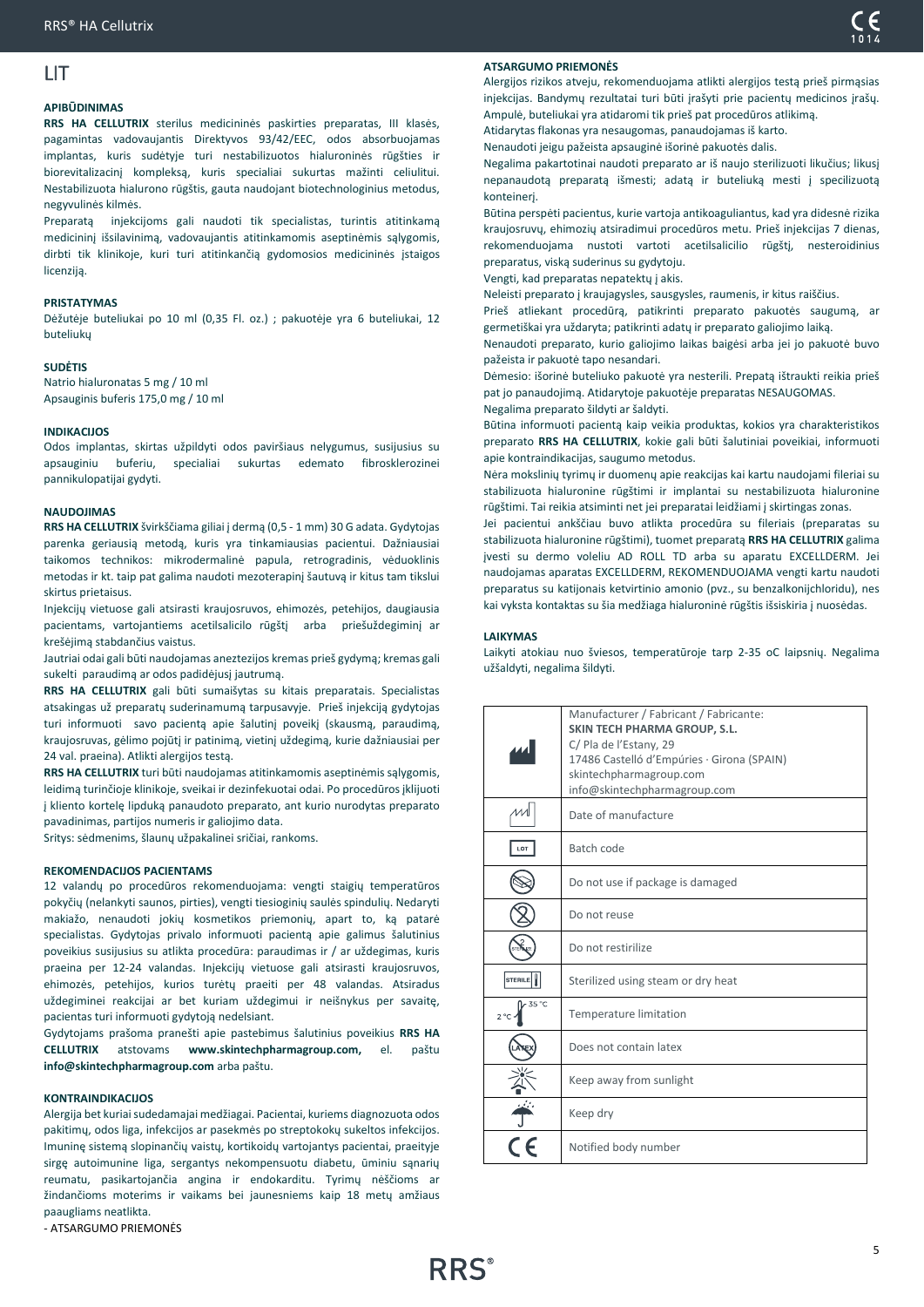# <span id="page-4-0"></span>LIT

### **APIBŪDINIMAS**

**RRS HA CELLUTRIX** sterilus medicininės paskirties preparatas, III klasės, pagamintas vadovaujantis Direktyvos 93/42/EEC, odos absorbuojamas implantas, kuris sudėtyje turi nestabilizuotos hialuroninės rūgšties ir biorevitalizacinį kompleksą, kuris specialiai sukurtas mažinti celiulitui. Nestabilizuota hialurono rūgštis, gauta naudojant biotechnologinius metodus, negyvulinės kilmės.

Preparatą injekcijoms gali naudoti tik specialistas, turintis atitinkamą medicininį išsilavinimą, vadovaujantis atitinkamomis aseptinėmis sąlygomis, dirbti tik klinikoje, kuri turi atitinkančią gydomosios medicininės įstaigos licenziją.

### **PRISTATYMAS**

Dėžutėje buteliukai po 10 ml (0,35 Fl. oz.) ; pakuotėje yra 6 buteliukai, 12 buteliukų

### **SUDĖTIS**

Natrio hialuronatas 5 mg / 10 ml Apsauginis buferis 175,0 mg / 10 ml

### **INDIKACIJOS**

Odos implantas, skirtas užpildyti odos paviršiaus nelygumus, susijusius su apsauginiu buferiu, specialiai sukurtas edemato fibrosklerozinei pannikulopatijai gydyti.

### **NAUDOJIMAS**

**RRS HA CELLUTRIX** švirkščiama giliai į dermą (0,5 - 1 mm) 30 G adata. Gydytojas parenka geriausią metodą, kuris yra tinkamiausias pacientui. Dažniausiai taikomos technikos: mikrodermalinė papula, retrogradinis, vėduoklinis metodas ir kt. taip pat galima naudoti mezoterapinį šautuvą ir kitus tam tikslui skirtus prietaisus.

Injekcijų vietuose gali atsirasti kraujosruvos, ehimozės, petehijos, daugiausia pacientams, vartojantiems acetilsalicilo rūgštį arba priešuždegiminį ar krešėjimą stabdančius vaistus.

Jautriai odai gali būti naudojamas aneztezijos kremas prieš gydymą; kremas gali sukelti paraudimą ar odos padidėjusį jautrumą.

**RRS HA CELLUTRIX** gali būti sumaišytas su kitais preparatais. Specialistas atsakingas už preparatų suderinamumą tarpusavyje. Prieš injekciją gydytojas turi informuoti savo pacientą apie šalutinį poveikį (skausmą, paraudimą, kraujosruvas, gėlimo pojūtį ir patinimą, vietinį uždegimą, kurie dažniausiai per 24 val. praeina). Atlikti alergijos testa.

**RRS HA CELLUTRIX** turi būti naudojamas atitinkamomis aseptinėmis sąlygomis, leidimą turinčioje klinikoje, sveikai ir dezinfekuotai odai. Po procedūros įklijuoti į kliento kortelę lipduką panaudoto preparato, ant kurio nurodytas preparato pavadinimas, partijos numeris ir galiojimo data.

Sritys: sėdmenims, šlaunų užpakalinei sričiai, rankoms.

### **REKOMENDACIJOS PACIENTAMS**

12 valandų po procedūros rekomenduojama: vengti staigių temperatūros pokyčių (nelankyti saunos, pirties), vengti tiesioginių saulės spindulių. Nedaryti makiažo, nenaudoti jokių kosmetikos priemonių, apart to, ką patarė specialistas. Gydytojas privalo informuoti pacientą apie galimus šalutinius poveikius susijusius su atlikta procedūra: paraudimas ir / ar uždegimas, kuris praeina per 12-24 valandas. Injekcijų vietuose gali atsirasti kraujosruvos, ehimozės, petehijos, kurios turėtų praeiti per 48 valandas. Atsiradus uždegiminei reakcijai ar bet kuriam uždegimui ir neišnykus per savaitę, pacientas turi informuoti gydytoją nedelsiant.

Gydytojams prašoma pranešti apie pastebimus šalutinius poveikius **RRS HA CELLUTRIX** atstovams **www.skintechpharmagroup.com,** el. paštu **info@skintechpharmagroup.com** arba paštu.

### **KONTRAINDIKACIJOS**

Alergija bet kuriai sudedamajai medžiagai. Pacientai, kuriems diagnozuota odos pakitimų, odos liga, infekcijos ar pasekmės po streptokokų sukeltos infekcijos. Imuninę sistemą slopinančių vaistų, kortikoidų vartojantys pacientai, praeityje sirgę autoimunine liga, sergantys nekompensuotu diabetu, ūminiu sąnarių reumatu, pasikartojančia angina ir endokarditu. Tyrimų nėščioms ar žindančioms moterims ir vaikams bei jaunesniems kaip 18 metų amžiaus paaugliams neatlikta.

- ATSARGUMO PRIEMONĖS

Alergijos rizikos atveju, rekomenduojama atlikti alergijos testą prieš pirmąsias injekcijas. Bandymų rezultatai turi būti įrašyti prie pacientų medicinos įrašų. Ampulė, buteliukai yra atidaromi tik prieš pat procedūros atlikimą. Atidarytas flakonas yra nesaugomas, panaudojamas iš karto.

Nenaudoti jeigu pažeista apsauginė išorinė pakuotės dalis.

Negalima pakartotinai naudoti preparato ar iš naujo sterilizuoti likučius; likusį nepanaudotą preparatą išmesti; adatą ir buteliuką mesti į specilizuotą konteinerį.

Būtina perspėti pacientus, kurie vartoja antikoaguliantus, kad yra didesnė rizika kraujosruvų, ehimozių atsiradimui procedūros metu. Prieš injekcijas 7 dienas, rekomenduojama nustoti vartoti acetilsalicilio rūgštį, nesteroidinius preparatus, viską suderinus su gydytoju.

Vengti, kad preparatas nepatektų į akis.

Neleisti preparato į kraujagysles, sausgysles, raumenis, ir kitus raiščius.

Prieš atliekant procedūrą, patikrinti preparato pakuotės saugumą, ar germetiškai yra uždaryta; patikrinti adatų ir preparato galiojimo laiką.

Nenaudoti preparato, kurio galiojimo laikas baigėsi arba jei jo pakuotė buvo pažeista ir pakuotė tapo nesandari.

Dėmesio: išorinė buteliuko pakuotė yra nesterili. Prepatą ištraukti reikia prieš pat jo panaudojimą. Atidarytoje pakuotėje preparatas NESAUGOMAS.

Negalima preparato šildyti ar šaldyti.

Būtina informuoti pacientą kaip veikia produktas, kokios yra charakteristikos preparato **RRS HA CELLUTRIX**, kokie gali būti šalutiniai poveikiai, informuoti apie kontraindikacijas, saugumo metodus.

Nėra mokslinių tyrimų ir duomenų apie reakcijas kai kartu naudojami fileriai su stabilizuota hialuronine rūgštimi ir implantai su nestabilizuota hialuronine rūgštimi. Tai reikia atsiminti net jei preparatai leidžiami į skirtingas zonas.

Jei pacientui ankščiau buvo atlikta procedūra su fileriais (preparatas su stabilizuota hialuronine rūgštimi), tuomet preparatą **RRS HA CELLUTRIX** galima įvesti su dermo voleliu AD ROLL TD arba su aparatu EXCELLDERM. Jei naudojamas aparatas EXCELLDERM, REKOMENDUOJAMA vengti kartu naudoti preparatus su katijonais ketvirtinio amonio (pvz., su benzalkonijchloridu), nes kai vyksta kontaktas su šia medžiaga hialuroninė rūgštis išsiskiria į nuosėdas.

### **LAIKYMAS**

Laikyti atokiau nuo šviesos, temperatūroje tarp 2-35 oC laipsnių. Negalima užšaldyti, negalima šildyti.

|                       | Manufacturer / Fabricant / Fabricante:<br><b>SKIN TECH PHARMA GROUP, S.L.</b><br>C/ Pla de l'Estany, 29<br>17486 Castelló d'Empúries · Girona (SPAIN)<br>skintechpharmagroup.com<br>info@skintechpharmagroup.com |
|-----------------------|------------------------------------------------------------------------------------------------------------------------------------------------------------------------------------------------------------------|
|                       | Date of manufacture                                                                                                                                                                                              |
| LOT                   | Batch code                                                                                                                                                                                                       |
|                       | Do not use if package is damaged                                                                                                                                                                                 |
|                       | Do not reuse                                                                                                                                                                                                     |
|                       | Do not restirilize                                                                                                                                                                                               |
| <b>STERILE</b>        | Sterilized using steam or dry heat                                                                                                                                                                               |
| 35 °C<br>$2^{\circ}C$ | Temperature limitation                                                                                                                                                                                           |
|                       | Does not contain latex                                                                                                                                                                                           |
|                       | Keep away from sunlight                                                                                                                                                                                          |
|                       | Keep dry                                                                                                                                                                                                         |
|                       | Notified body number                                                                                                                                                                                             |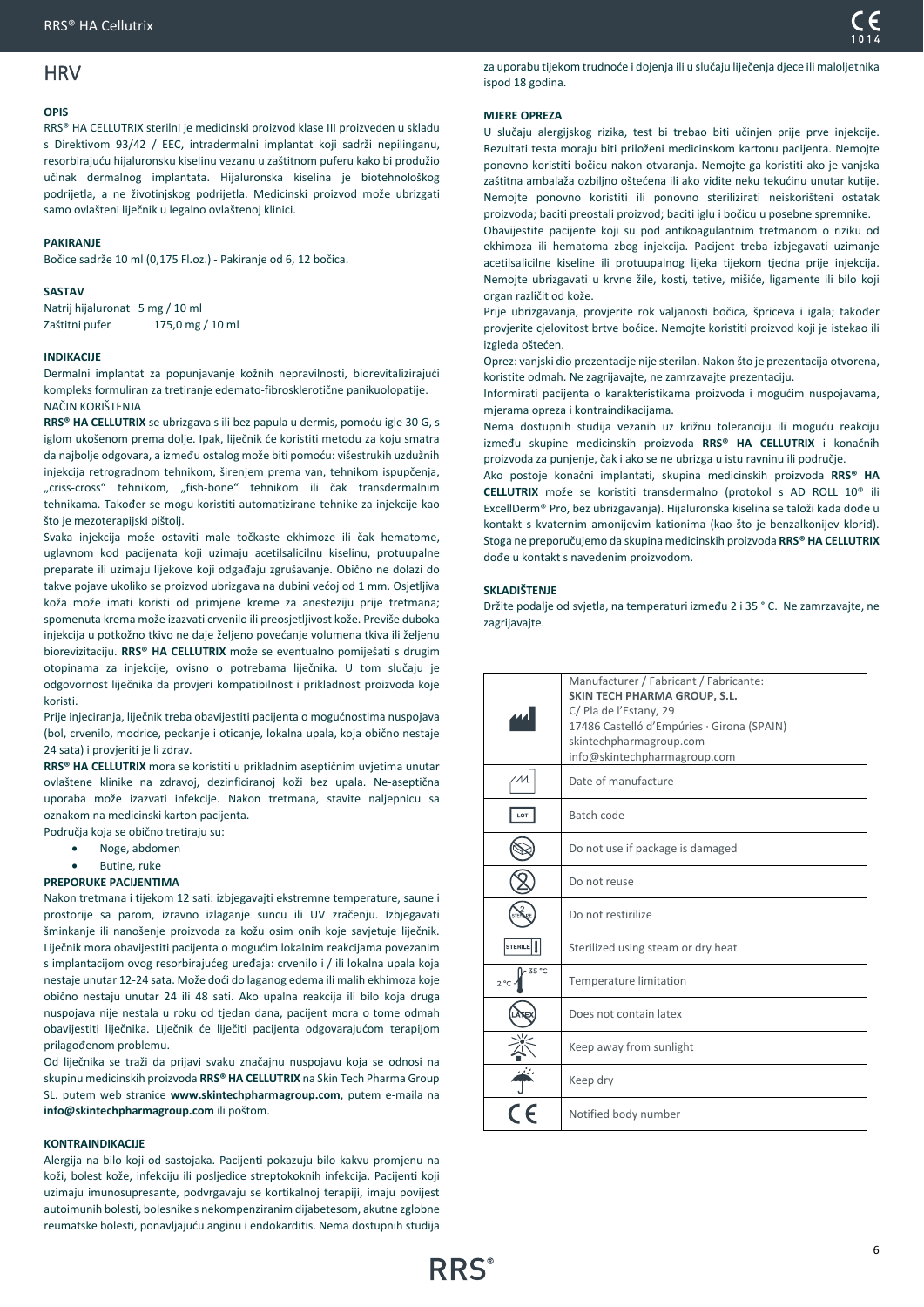# <span id="page-5-0"></span>**HRV**

### **OPIS**

RRS® HA CELLUTRIX sterilni je medicinski proizvod klase III proizveden u skladu s Direktivom 93/42 / EEC, intradermalni implantat koji sadrži nepilinganu, resorbirajuću hijaluronsku kiselinu vezanu u zaštitnom puferu kako bi produžio učinak dermalnog implantata. Hijaluronska kiselina je biotehnološkog podrijetla, a ne životinjskog podrijetla. Medicinski proizvod može ubrizgati samo ovlašteni liječnik u legalno ovlaštenoj klinici.

### **PAKIRANJE**

Bočice sadrže 10 ml (0,175 Fl.oz.) - Pakiranje od 6, 12 bočica.

### **SASTAV**

Natrij hijaluronat 5 mg / 10 ml Zaštitni pufer 175,0 mg / 10 ml

### **INDIKACIJE**

Dermalni implantat za popunjavanje kožnih nepravilnosti, biorevitalizirajući kompleks formuliran za tretiranje edemato-fibrosklerotične panikuolopatije. NAČIN KORIŠTENJA

**RRS® HA CELLUTRIX** se ubrizgava s ili bez papula u dermis, pomoću igle 30 G, s iglom ukošenom prema dolje. Ipak, liječnik će koristiti metodu za koju smatra da najbolje odgovara, a između ostalog može biti pomoću: višestrukih uzdužnih injekcija retrogradnom tehnikom, širenjem prema van, tehnikom ispupčenja, "criss-cross" tehnikom, "fish-bone" tehnikom ili čak transdermalnim tehnikama. Također se mogu koristiti automatizirane tehnike za injekcije kao što je mezoterapijski pištolj.

Svaka injekcija može ostaviti male točkaste ekhimoze ili čak hematome, uglavnom kod pacijenata koji uzimaju acetilsalicilnu kiselinu, protuupalne preparate ili uzimaju lijekove koji odgađaju zgrušavanje. Obično ne dolazi do takve pojave ukoliko se proizvod ubrizgava na dubini većoj od 1 mm. Osjetljiva koža može imati koristi od primjene kreme za anesteziju prije tretmana; spomenuta krema može izazvati crvenilo ili preosjetljivost kože. Previše duboka injekcija u potkožno tkivo ne daje željeno povećanje volumena tkiva ili željenu biorevizitaciju. **RRS® HA CELLUTRIX** može se eventualno pomiješati s drugim otopinama za injekcije, ovisno o potrebama liječnika. U tom slučaju je odgovornost liječnika da provjeri kompatibilnost i prikladnost proizvoda koje koristi.

Prije injeciranja, liječnik treba obavijestiti pacijenta o mogućnostima nuspojava (bol, crvenilo, modrice, peckanje i oticanje, lokalna upala, koja obično nestaje 24 sata) i provjeriti je li zdrav.

**RRS® HA CELLUTRIX** mora se koristiti u prikladnim aseptičnim uvjetima unutar ovlaštene klinike na zdravoj, dezinficiranoj koži bez upala. Ne-aseptična uporaba može izazvati infekcije. Nakon tretmana, stavite naljepnicu sa oznakom na medicinski karton pacijenta.

Područja koja se obično tretiraju su: • Noge, abdomen

• Butine, ruke

### **PREPORUKE PACIJENTIMA**

Nakon tretmana i tijekom 12 sati: izbjegavajti ekstremne temperature, saune i prostorije sa parom, izravno izlaganje suncu ili UV zračenju. Izbjegavati šminkanje ili nanošenje proizvoda za kožu osim onih koje savjetuje liječnik. Liječnik mora obavijestiti pacijenta o mogućim lokalnim reakcijama povezanim s implantacijom ovog resorbirajućeg uređaja: crvenilo i / ili lokalna upala koja nestaje unutar 12-24 sata. Može doći do laganog edema ili malih ekhimoza koje obično nestaju unutar 24 ili 48 sati. Ako upalna reakcija ili bilo koja druga nuspojava nije nestala u roku od tjedan dana, pacijent mora o tome odmah obavijestiti liječnika. Liječnik će liječiti pacijenta odgovarajućom terapijom prilagođenom problemu.

Od liječnika se traži da prijavi svaku značajnu nuspojavu koja se odnosi na skupinu medicinskih proizvoda **RRS® HA CELLUTRIX** na Skin Tech Pharma Group SL. putem web stranice **www.skintechpharmagroup.com**, putem e-maila na **info@skintechpharmagroup.com** ili poštom.

### **KONTRAINDIKACIJE**

Alergija na bilo koji od sastojaka. Pacijenti pokazuju bilo kakvu promjenu na koži, bolest kože, infekciju ili posljedice streptokoknih infekcija. Pacijenti koji uzimaju imunosupresante, podvrgavaju se kortikalnoj terapiji, imaju povijest autoimunih bolesti, bolesnike s nekompenziranim dijabetesom, akutne zglobne reumatske bolesti, ponavljajuću anginu i endokarditis. Nema dostupnih studija

za uporabu tijekom trudnoće i dojenja ili u slučaju liječenja djece ili maloljetnika ispod 18 godina.

### **MJERE OPREZA**

U slučaju alergijskog rizika, test bi trebao biti učinjen prije prve injekcije. Rezultati testa moraju biti priloženi medicinskom kartonu pacijenta. Nemojte ponovno koristiti bočicu nakon otvaranja. Nemojte ga koristiti ako je vanjska zaštitna ambalaža ozbiljno oštećena ili ako vidite neku tekućinu unutar kutije. Nemojte ponovno koristiti ili ponovno sterilizirati neiskorišteni ostatak proizvoda; baciti preostali proizvod; baciti iglu i bočicu u posebne spremnike.

Obavijestite pacijente koji su pod antikoagulantnim tretmanom o riziku od ekhimoza ili hematoma zbog injekcija. Pacijent treba izbjegavati uzimanje acetilsalicilne kiseline ili protuupalnog lijeka tijekom tjedna prije injekcija. Nemojte ubrizgavati u krvne žile, kosti, tetive, mišiće, ligamente ili bilo koji organ različit od kože.

Prije ubrizgavanja, provjerite rok valjanosti bočica, špriceva i igala; također provjerite cjelovitost brtve bočice. Nemojte koristiti proizvod koji je istekao ili izgleda oštećen.

Oprez: vanjski dio prezentacije nije sterilan. Nakon što je prezentacija otvorena, koristite odmah. Ne zagrijavajte, ne zamrzavajte prezentaciju.

Informirati pacijenta o karakteristikama proizvoda i mogućim nuspojavama, mjerama opreza i kontraindikacijama.

Nema dostupnih studija vezanih uz križnu toleranciju ili moguću reakciju između skupine medicinskih proizvoda **RRS® HA CELLUTRIX** i konačnih proizvoda za punjenje, čak i ako se ne ubrizga u istu ravninu ili područje.

Ako postoje konačni implantati, skupina medicinskih proizvoda **RRS® HA CELLUTRIX** može se koristiti transdermalno (protokol s AD ROLL 10® ili ExcellDerm® Pro, bez ubrizgavanja). Hijaluronska kiselina se taloži kada dođe u kontakt s kvaternim amonijevim kationima (kao što je benzalkonijev klorid). Stoga ne preporučujemo da skupina medicinskih proizvoda **RRS® HA CELLUTRIX** dođe u kontakt s navedenim proizvodom.

### **SKLADIŠTENJE**

Držite podalje od svjetla, na temperaturi između 2 i 35 ° C. Ne zamrzavajte, ne zagrijavajte.

|                        | Manufacturer / Fabricant / Fabricante:<br><b>SKIN TECH PHARMA GROUP, S.L.</b><br>C/ Pla de l'Estany, 29<br>17486 Castelló d'Empúries · Girona (SPAIN)<br>skintechpharmagroup.com<br>info@skintechpharmagroup.com |
|------------------------|------------------------------------------------------------------------------------------------------------------------------------------------------------------------------------------------------------------|
|                        | Date of manufacture                                                                                                                                                                                              |
| LOT                    | Batch code                                                                                                                                                                                                       |
|                        | Do not use if package is damaged                                                                                                                                                                                 |
|                        | Do not reuse                                                                                                                                                                                                     |
|                        | Do not restirilize                                                                                                                                                                                               |
| <b>STERILE</b>         | Sterilized using steam or dry heat                                                                                                                                                                               |
| 35 °C<br>$2^{\circ}$ C | Temperature limitation                                                                                                                                                                                           |
|                        | Does not contain latex                                                                                                                                                                                           |
|                        | Keep away from sunlight                                                                                                                                                                                          |
|                        | Keep dry                                                                                                                                                                                                         |
|                        | Notified body number                                                                                                                                                                                             |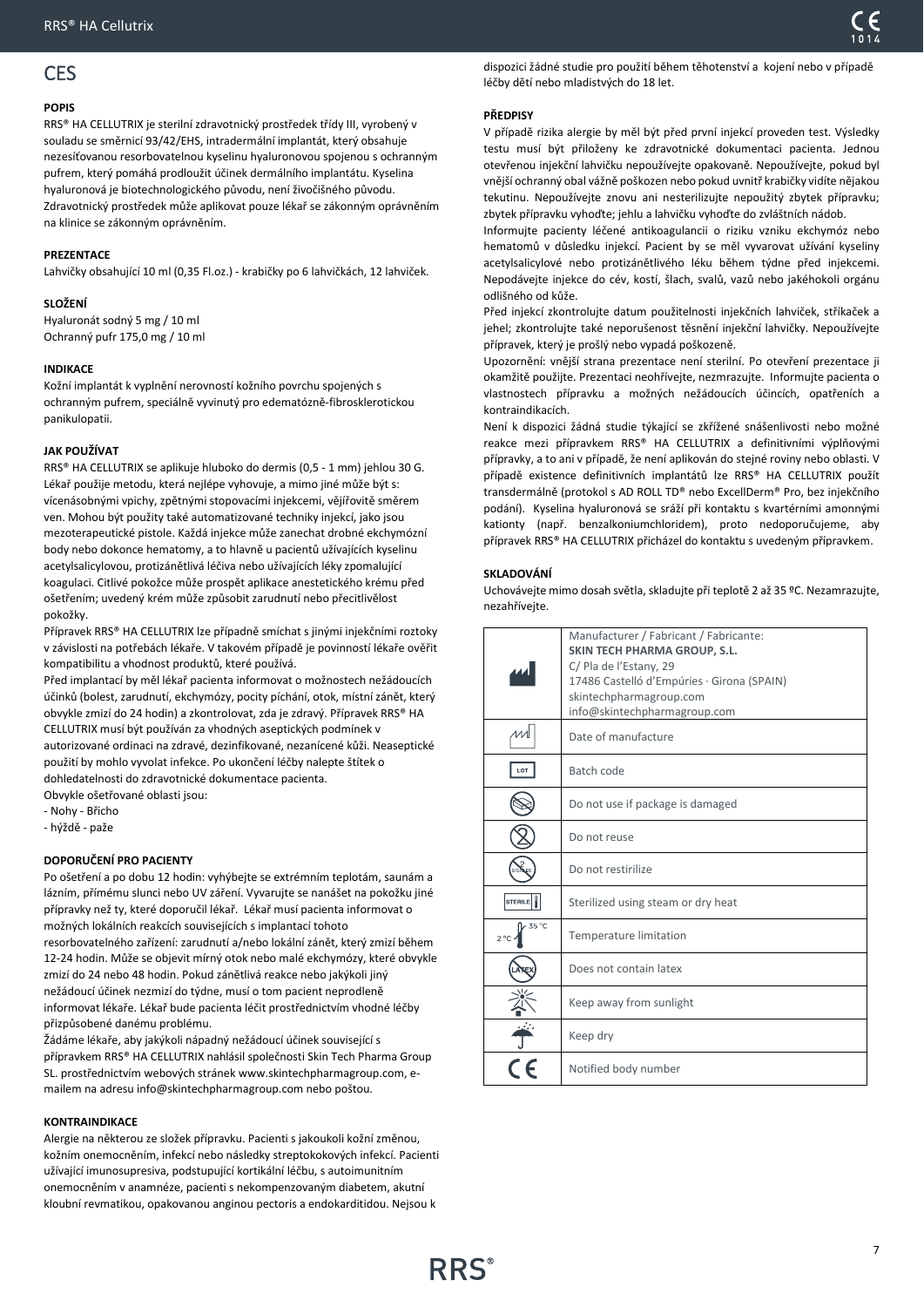# <span id="page-6-0"></span>CES

### **POPIS**

RRS® HA CELLUTRIX je sterilní zdravotnický prostředek třídy III, vyrobený v souladu se směrnicí 93/42/EHS, intradermální implantát, který obsahuje nezesíťovanou resorbovatelnou kyselinu hyaluronovou spojenou s ochranným pufrem, který pomáhá prodloužit účinek dermálního implantátu. Kyselina hyaluronová je biotechnologického původu, není živočišného původu. Zdravotnický prostředek může aplikovat pouze lékař se zákonným oprávněním na klinice se zákonným oprávněním.

### **PREZENTACE**

Lahvičky obsahující 10 ml (0,35 Fl.oz.) - krabičky po 6 lahvičkách, 12 lahviček.

### **SLOŽENÍ**

Hyaluronát sodný 5 mg / 10 ml Ochranný pufr 175,0 mg / 10 ml

### **INDIKACE**

Kožní implantát k vyplnění nerovností kožního povrchu spojených s ochranným pufrem, speciálně vyvinutý pro edematózně-fibrosklerotickou panikulopatii.

### **JAK POUŽÍVAT**

RRS® HA CELLUTRIX se aplikuje hluboko do dermis (0,5 - 1 mm) jehlou 30 G. Lékař použije metodu, která nejlépe vyhovuje, a mimo jiné může být s: vícenásobnými vpichy, zpětnými stopovacími injekcemi, vějířovitě směrem ven. Mohou být použity také automatizované techniky injekcí, jako jsou mezoterapeutické pistole. Každá injekce může zanechat drobné ekchymózní body nebo dokonce hematomy, a to hlavně u pacientů užívajících kyselinu acetylsalicylovou, protizánětlivá léčiva nebo užívajících léky zpomalující koagulaci. Citlivé pokožce může prospět aplikace anestetického krému před ošetřením; uvedený krém může způsobit zarudnutí nebo přecitlivělost pokožky.

Přípravek RRS® HA CELLUTRIX lze případně smíchat s jinými injekčními roztoky v závislosti na potřebách lékaře. V takovém případě je povinností lékaře ověřit kompatibilitu a vhodnost produktů, které používá.

Před implantací by měl lékař pacienta informovat o možnostech nežádoucích účinků (bolest, zarudnutí, ekchymózy, pocity píchání, otok, místní zánět, který obvykle zmizí do 24 hodin) a zkontrolovat, zda je zdravý. Přípravek RRS® HA CELLUTRIX musí být používán za vhodných aseptických podmínek v autorizované ordinaci na zdravé, dezinfikované, nezanícené kůži. Neaseptické použití by mohlo vyvolat infekce. Po ukončení léčby nalepte štítek o dohledatelnosti do zdravotnické dokumentace pacienta.

Obvykle ošetřované oblasti jsou:

- Nohy - Břicho

- hýždě - paže

### **DOPORUČENÍ PRO PACIENTY**

Po ošetření a po dobu 12 hodin: vyhýbejte se extrémním teplotám, saunám a lázním, přímému slunci nebo UV záření. Vyvarujte se nanášet na pokožku jiné přípravky než ty, které doporučil lékař. Lékař musí pacienta informovat o možných lokálních reakcích souvisejících s implantací tohoto resorbovatelného zařízení: zarudnutí a/nebo lokální zánět, který zmizí během 12-24 hodin. Může se objevit mírný otok nebo malé ekchymózy, které obvykle zmizí do 24 nebo 48 hodin. Pokud zánětlivá reakce nebo jakýkoli jiný nežádoucí účinek nezmizí do týdne, musí o tom pacient neprodleně informovat lékaře. Lékař bude pacienta léčit prostřednictvím vhodné léčby přizpůsobené danému problému.

Žádáme lékaře, aby jakýkoli nápadný nežádoucí účinek související s přípravkem RRS® HA CELLUTRIX nahlásil společnosti Skin Tech Pharma Group SL. prostřednictvím webových stránek www.skintechpharmagroup.com, emailem na adresu info@skintechpharmagroup.com nebo poštou.

### **KONTRAINDIKACE**

Alergie na některou ze složek přípravku. Pacienti s jakoukoli kožní změnou, kožním onemocněním, infekcí nebo následky streptokokových infekcí. Pacienti užívající imunosupresiva, podstupující kortikální léčbu, s autoimunitním onemocněním v anamnéze, pacienti s nekompenzovaným diabetem, akutní kloubní revmatikou, opakovanou anginou pectoris a endokarditidou. Nejsou k

dispozici žádné studie pro použití během těhotenství a kojení nebo v případě léčby dětí nebo mladistvých do 18 let.

### **PŘEDPISY**

V případě rizika alergie by měl být před první injekcí proveden test. Výsledky testu musí být přiloženy ke zdravotnické dokumentaci pacienta. Jednou otevřenou injekční lahvičku nepoužívejte opakovaně. Nepoužívejte, pokud byl vnější ochranný obal vážně poškozen nebo pokud uvnitř krabičky vidíte nějakou tekutinu. Nepoužívejte znovu ani nesterilizujte nepoužitý zbytek přípravku; zbytek přípravku vyhoďte; jehlu a lahvičku vyhoďte do zvláštních nádob.

Informujte pacienty léčené antikoagulancii o riziku vzniku ekchymóz nebo hematomů v důsledku injekcí. Pacient by se měl vyvarovat užívání kyseliny acetylsalicylové nebo protizánětlivého léku během týdne před injekcemi. Nepodávejte injekce do cév, kostí, šlach, svalů, vazů nebo jakéhokoli orgánu odlišného od kůže.

Před injekcí zkontrolujte datum použitelnosti injekčních lahviček, stříkaček a jehel; zkontrolujte také neporušenost těsnění injekční lahvičky. Nepoužívejte přípravek, který je prošlý nebo vypadá poškozeně.

Upozornění: vnější strana prezentace není sterilní. Po otevření prezentace ji okamžitě použijte. Prezentaci neohřívejte, nezmrazujte. Informujte pacienta o vlastnostech přípravku a možných nežádoucích účincích, opatřeních a kontraindikacích.

Není k dispozici žádná studie týkající se zkřížené snášenlivosti nebo možné reakce mezi přípravkem RRS® HA CELLUTRIX a definitivními výplňovými přípravky, a to ani v případě, že není aplikován do stejné roviny nebo oblasti. V případě existence definitivních implantátů lze RRS® HA CELLUTRIX použít transdermálně (protokol s AD ROLL TD® nebo ExcellDerm® Pro, bez injekčního podání). Kyselina hyaluronová se sráží při kontaktu s kvartérními amonnými kationty (např. benzalkoniumchloridem), proto nedoporučujeme, aby přípravek RRS® HA CELLUTRIX přicházel do kontaktu s uvedeným přípravkem.

### **SKLADOVÁNÍ**

Uchovávejte mimo dosah světla, skladujte při teplotě 2 až 35 ºC. Nezamrazujte, nezahřívejte.

|                       | Manufacturer / Fabricant / Fabricante:<br><b>SKIN TECH PHARMA GROUP, S.L.</b><br>C/ Pla de l'Estany, 29<br>17486 Castelló d'Empúries · Girona (SPAIN)<br>skintechpharmagroup.com<br>info@skintechpharmagroup.com |
|-----------------------|------------------------------------------------------------------------------------------------------------------------------------------------------------------------------------------------------------------|
|                       | Date of manufacture                                                                                                                                                                                              |
| LOT                   | Batch code                                                                                                                                                                                                       |
|                       | Do not use if package is damaged                                                                                                                                                                                 |
|                       | Do not reuse                                                                                                                                                                                                     |
|                       | Do not restirilize                                                                                                                                                                                               |
| <b>STERILE</b>        | Sterilized using steam or dry heat                                                                                                                                                                               |
| 35 °C<br>$2^{\circ}C$ | <b>Temperature limitation</b>                                                                                                                                                                                    |
|                       | Does not contain latex                                                                                                                                                                                           |
|                       | Keep away from sunlight                                                                                                                                                                                          |
|                       | Keep dry                                                                                                                                                                                                         |
|                       | Notified body number                                                                                                                                                                                             |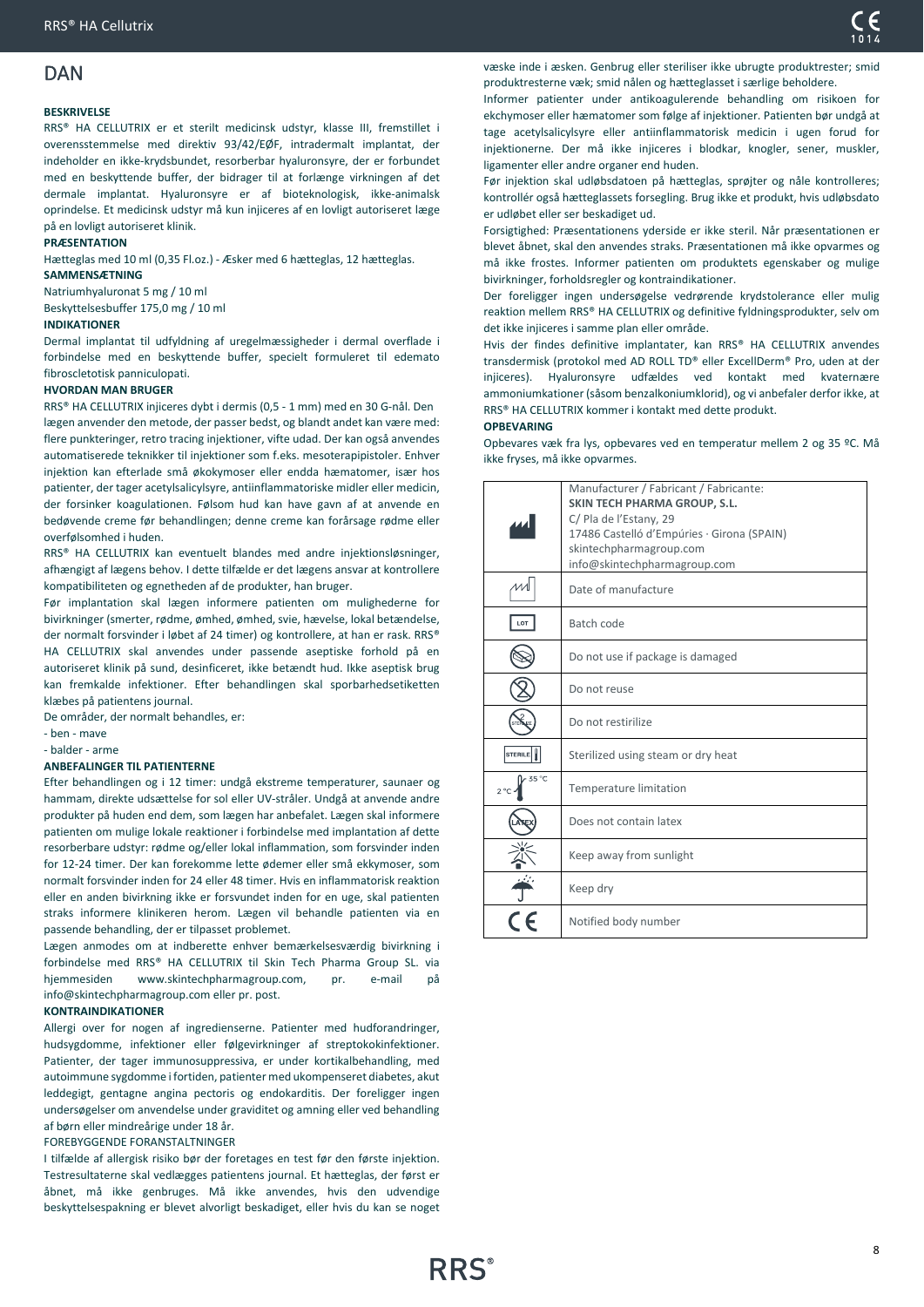# <span id="page-7-0"></span>DAN

### **BESKRIVELSE**

RRS® HA CELLUTRIX er et sterilt medicinsk udstyr, klasse III, fremstillet i overensstemmelse med direktiv 93/42/EØF, intradermalt implantat, der indeholder en ikke-krydsbundet, resorberbar hyaluronsyre, der er forbundet med en beskyttende buffer, der bidrager til at forlænge virkningen af det dermale implantat. Hyaluronsyre er af bioteknologisk, ikke-animalsk oprindelse. Et medicinsk udstyr må kun injiceres af en lovligt autoriseret læge på en lovligt autoriseret klinik.

### **PRÆSENTATION**

Hætteglas med 10 ml (0,35 Fl.oz.) - Æsker med 6 hætteglas, 12 hætteglas.

### **SAMMENSÆTNING**

Natriumhyaluronat 5 mg / 10 ml Beskyttelsesbuffer 175,0 mg / 10 ml

### **INDIKATIONER**

Dermal implantat til udfyldning af uregelmæssigheder i dermal overflade i forbindelse med en beskyttende buffer, specielt formuleret til edemato fibroscletotisk panniculopati.

### **HVORDAN MAN BRUGER**

RRS® HA CELLUTRIX injiceres dybt i dermis (0,5 - 1 mm) med en 30 G-nål. Den lægen anvender den metode, der passer bedst, og blandt andet kan være med: flere punkteringer, retro tracing injektioner, vifte udad. Der kan også anvendes automatiserede teknikker til injektioner som f.eks. mesoterapipistoler. Enhver injektion kan efterlade små økokymoser eller endda hæmatomer, især hos patienter, der tager acetylsalicylsyre, antiinflammatoriske midler eller medicin, der forsinker koagulationen. Følsom hud kan have gavn af at anvende en bedøvende creme før behandlingen; denne creme kan forårsage rødme eller overfølsomhed i huden.

RRS® HA CELLUTRIX kan eventuelt blandes med andre injektionsløsninger, afhængigt af lægens behov. I dette tilfælde er det lægens ansvar at kontrollere kompatibiliteten og egnetheden af de produkter, han bruger.

Før implantation skal lægen informere patienten om mulighederne for bivirkninger (smerter, rødme, ømhed, ømhed, svie, hævelse, lokal betændelse, der normalt forsvinder i løbet af 24 timer) og kontrollere, at han er rask. RRS® HA CELLUTRIX skal anvendes under passende aseptiske forhold på en autoriseret klinik på sund, desinficeret, ikke betændt hud. Ikke aseptisk brug kan fremkalde infektioner. Efter behandlingen skal sporbarhedsetiketten klæbes på patientens journal.

De områder, der normalt behandles, er:

- ben - mave

- balder - arme

### **ANBEFALINGER TIL PATIENTERNE**

Efter behandlingen og i 12 timer: undgå ekstreme temperaturer, saunaer og hammam, direkte udsættelse for sol eller UV-stråler. Undgå at anvende andre produkter på huden end dem, som lægen har anbefalet. Lægen skal informere patienten om mulige lokale reaktioner i forbindelse med implantation af dette resorberbare udstyr: rødme og/eller lokal inflammation, som forsvinder inden for 12-24 timer. Der kan forekomme lette ødemer eller små ekkymoser, som normalt forsvinder inden for 24 eller 48 timer. Hvis en inflammatorisk reaktion eller en anden bivirkning ikke er forsvundet inden for en uge, skal patienten straks informere klinikeren herom. Lægen vil behandle patienten via en passende behandling, der er tilpasset problemet.

Lægen anmodes om at indberette enhver bemærkelsesværdig bivirkning i forbindelse med RRS® HA CELLUTRIX til Skin Tech Pharma Group SL. via hjemmesiden www.skintechpharmagroup.com, pr. e-mail på info@skintechpharmagroup.com eller pr. post.

### **KONTRAINDIKATIONER**

Allergi over for nogen af ingredienserne. Patienter med hudforandringer, hudsygdomme, infektioner eller følgevirkninger af streptokokinfektioner. Patienter, der tager immunosuppressiva, er under kortikalbehandling, med autoimmune sygdomme i fortiden, patienter med ukompenseret diabetes, akut leddegigt, gentagne angina pectoris og endokarditis. Der foreligger ingen undersøgelser om anvendelse under graviditet og amning eller ved behandling af børn eller mindreårige under 18 år.

FOREBYGGENDE FORANSTALTNINGER

I tilfælde af allergisk risiko bør der foretages en test før den første injektion. Testresultaterne skal vedlægges patientens journal. Et hætteglas, der først er åbnet, må ikke genbruges. Må ikke anvendes, hvis den udvendige beskyttelsespakning er blevet alvorligt beskadiget, eller hvis du kan se noget væske inde i æsken. Genbrug eller steriliser ikke ubrugte produktrester; smid produktresterne væk; smid nålen og hætteglasset i særlige beholdere.

Informer patienter under antikoagulerende behandling om risikoen for ekchymoser eller hæmatomer som følge af injektioner. Patienten bør undgå at tage acetylsalicylsyre eller antiinflammatorisk medicin i ugen forud for injektionerne. Der må ikke injiceres i blodkar, knogler, sener, muskler, ligamenter eller andre organer end huden.

Før injektion skal udløbsdatoen på hætteglas, sprøjter og nåle kontrolleres; kontrollér også hætteglassets forsegling. Brug ikke et produkt, hvis udløbsdato er udløbet eller ser beskadiget ud.

Forsigtighed: Præsentationens yderside er ikke steril. Når præsentationen er blevet åbnet, skal den anvendes straks. Præsentationen må ikke opvarmes og må ikke frostes. Informer patienten om produktets egenskaber og mulige bivirkninger, forholdsregler og kontraindikationer.

Der foreligger ingen undersøgelse vedrørende krydstolerance eller mulig reaktion mellem RRS® HA CELLUTRIX og definitive fyldningsprodukter, selv om det ikke injiceres i samme plan eller område.

Hvis der findes definitive implantater, kan RRS® HA CELLUTRIX anvendes transdermisk (protokol med AD ROLL TD® eller ExcellDerm® Pro, uden at der injiceres). Hyaluronsyre udfældes ved kontakt med kvaternære ammoniumkationer (såsom benzalkoniumklorid), og vi anbefaler derfor ikke, at RRS® HA CELLUTRIX kommer i kontakt med dette produkt.

### **OPBEVARING**

Opbevares væk fra lys, opbevares ved en temperatur mellem 2 og 35 ºC. Må ikke fryses, må ikke opvarmes.

|                        | Manufacturer / Fabricant / Fabricante:<br><b>SKIN TECH PHARMA GROUP, S.L.</b><br>C/ Pla de l'Estany, 29<br>17486 Castelló d'Empúries · Girona (SPAIN)<br>skintechpharmagroup.com<br>info@skintechpharmagroup.com |
|------------------------|------------------------------------------------------------------------------------------------------------------------------------------------------------------------------------------------------------------|
|                        | Date of manufacture                                                                                                                                                                                              |
| LOT                    | Batch code                                                                                                                                                                                                       |
|                        | Do not use if package is damaged                                                                                                                                                                                 |
|                        | Do not reuse                                                                                                                                                                                                     |
|                        | Do not restirilize                                                                                                                                                                                               |
| STERILE                | Sterilized using steam or dry heat                                                                                                                                                                               |
| 35 °C<br>$2^{\circ}$ C | Temperature limitation                                                                                                                                                                                           |
|                        | Does not contain latex                                                                                                                                                                                           |
|                        | Keep away from sunlight                                                                                                                                                                                          |
|                        | Keep dry                                                                                                                                                                                                         |
|                        | Notified body number                                                                                                                                                                                             |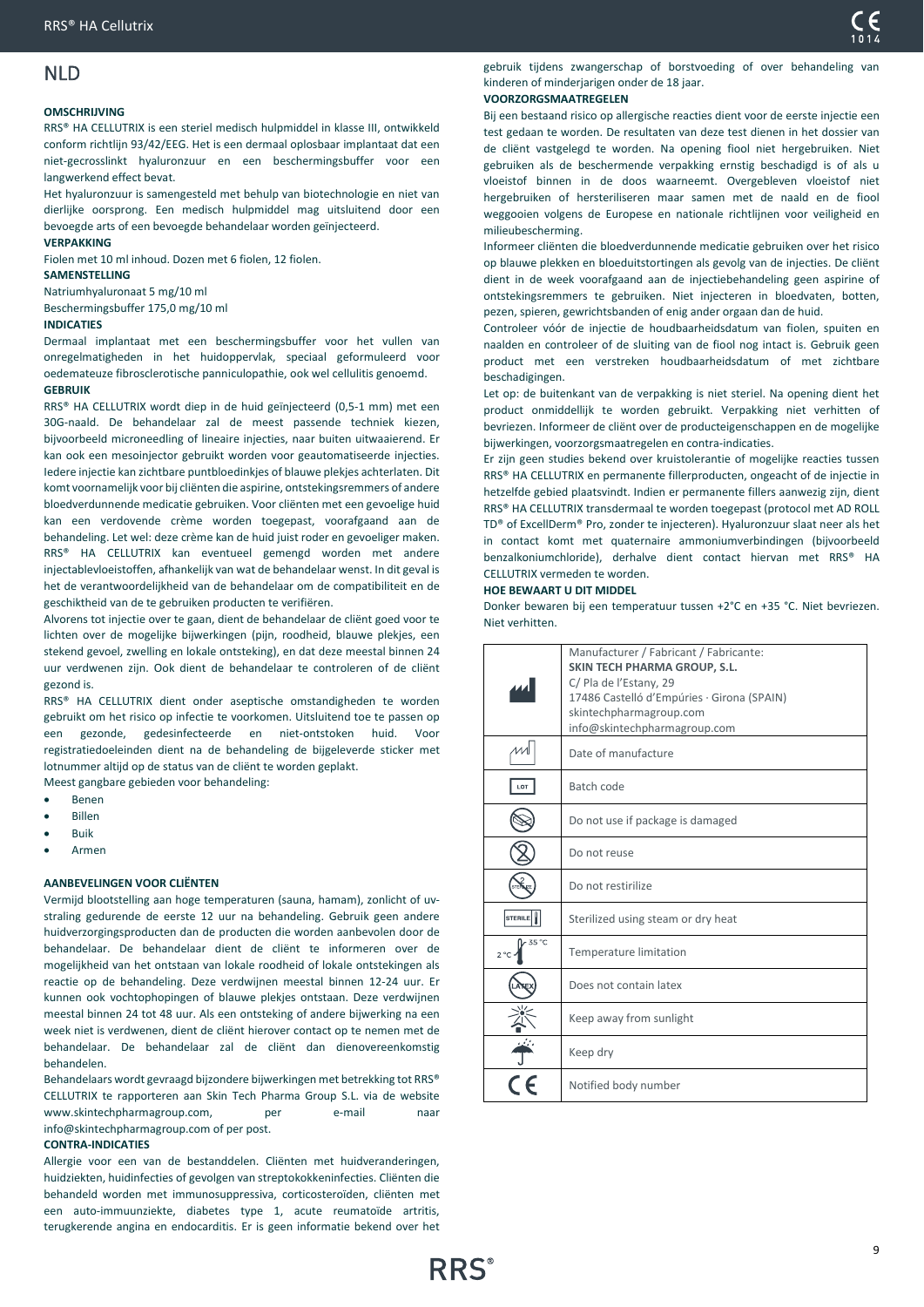# <span id="page-8-0"></span>NLD

### **OMSCHRIJVING**

RRS® HA CELLUTRIX is een steriel medisch hulpmiddel in klasse III, ontwikkeld conform richtlijn 93/42/EEG. Het is een dermaal oplosbaar implantaat dat een niet-gecrosslinkt hyaluronzuur en een beschermingsbuffer voor een langwerkend effect bevat.

Het hyaluronzuur is samengesteld met behulp van biotechnologie en niet van dierlijke oorsprong. Een medisch hulpmiddel mag uitsluitend door een bevoegde arts of een bevoegde behandelaar worden geïnjecteerd.

### **VERPAKKING**

Fiolen met 10 ml inhoud. Dozen met 6 fiolen, 12 fiolen. **SAMENSTELLING**

Natriumhyaluronaat 5 mg/10 ml Beschermingsbuffer 175,0 mg/10 ml

### **INDICATIES**

Dermaal implantaat met een beschermingsbuffer voor het vullen van onregelmatigheden in het huidoppervlak, speciaal geformuleerd voor oedemateuze fibrosclerotische panniculopathie, ook wel cellulitis genoemd. **GEBRUIK** 

RRS® HA CELLUTRIX wordt diep in de huid geïnjecteerd (0,5-1 mm) met een 30G-naald. De behandelaar zal de meest passende techniek kiezen, bijvoorbeeld microneedling of lineaire injecties, naar buiten uitwaaierend. Er kan ook een mesoinjector gebruikt worden voor geautomatiseerde injecties. Iedere injectie kan zichtbare puntbloedinkjes of blauwe plekjes achterlaten. Dit komt voornamelijk voor bij cliënten die aspirine, ontstekingsremmers of andere bloedverdunnende medicatie gebruiken. Voor cliënten met een gevoelige huid kan een verdovende crème worden toegepast, voorafgaand aan de behandeling. Let wel: deze crème kan de huid juist roder en gevoeliger maken. RRS® HA CELLUTRIX kan eventueel gemengd worden met andere injectablevloeistoffen, afhankelijk van wat de behandelaar wenst. In dit geval is het de verantwoordelijkheid van de behandelaar om de compatibiliteit en de geschiktheid van de te gebruiken producten te verifiëren.

Alvorens tot injectie over te gaan, dient de behandelaar de cliënt goed voor te lichten over de mogelijke bijwerkingen (pijn, roodheid, blauwe plekjes, een stekend gevoel, zwelling en lokale ontsteking), en dat deze meestal binnen 24 uur verdwenen zijn. Ook dient de behandelaar te controleren of de cliënt gezond is.

RRS® HA CELLUTRIX dient onder aseptische omstandigheden te worden gebruikt om het risico op infectie te voorkomen. Uitsluitend toe te passen op een gezonde, gedesinfecteerde en niet-ontstoken huid. Voor registratiedoeleinden dient na de behandeling de bijgeleverde sticker met lotnummer altijd op de status van de cliënt te worden geplakt. Meest gangbare gebieden voor behandeling:

- Benen
- Billen
- Buik
- Armen

### **AANBEVELINGEN VOOR CLIËNTEN**

Vermijd blootstelling aan hoge temperaturen (sauna, hamam), zonlicht of uvstraling gedurende de eerste 12 uur na behandeling. Gebruik geen andere huidverzorgingsproducten dan de producten die worden aanbevolen door de behandelaar. De behandelaar dient de cliënt te informeren over de mogelijkheid van het ontstaan van lokale roodheid of lokale ontstekingen als reactie op de behandeling. Deze verdwijnen meestal binnen 12-24 uur. Er kunnen ook vochtophopingen of blauwe plekjes ontstaan. Deze verdwijnen meestal binnen 24 tot 48 uur. Als een ontsteking of andere bijwerking na een week niet is verdwenen, dient de cliënt hierover contact op te nemen met de behandelaar. De behandelaar zal de cliënt dan dienovereenkomstig behandelen.

Behandelaars wordt gevraagd bijzondere bijwerkingen met betrekking tot RRS® CELLUTRIX te rapporteren aan Skin Tech Pharma Group S.L. via de website www.skintechpharmagroup.com. per e-mail naar info@skintechpharmagroup.com of per post.

### **CONTRA-INDICATIES**

Allergie voor een van de bestanddelen. Cliënten met huidveranderingen, huidziekten, huidinfecties of gevolgen van streptokokkeninfecties. Cliënten die behandeld worden met immunosuppressiva, corticosteroïden, cliënten met een auto-immuunziekte, diabetes type 1, acute reumatoïde artritis, terugkerende angina en endocarditis. Er is geen informatie bekend over het

gebruik tijdens zwangerschap of borstvoeding of over behandeling van kinderen of minderjarigen onder de 18 jaar.

### **VOORZORGSMAATREGELEN**

Bij een bestaand risico op allergische reacties dient voor de eerste injectie een test gedaan te worden. De resultaten van deze test dienen in het dossier van de cliënt vastgelegd te worden. Na opening fiool niet hergebruiken. Niet gebruiken als de beschermende verpakking ernstig beschadigd is of als u vloeistof binnen in de doos waarneemt. Overgebleven vloeistof niet hergebruiken of hersteriliseren maar samen met de naald en de fiool weggooien volgens de Europese en nationale richtlijnen voor veiligheid en milieubescherming.

Informeer cliënten die bloedverdunnende medicatie gebruiken over het risico op blauwe plekken en bloeduitstortingen als gevolg van de injecties. De cliënt dient in de week voorafgaand aan de injectiebehandeling geen aspirine of ontstekingsremmers te gebruiken. Niet injecteren in bloedvaten, botten, pezen, spieren, gewrichtsbanden of enig ander orgaan dan de huid.

Controleer vóór de injectie de houdbaarheidsdatum van fiolen, spuiten en naalden en controleer of de sluiting van de fiool nog intact is. Gebruik geen product met een verstreken houdbaarheidsdatum of met zichtbare beschadigingen.

Let op: de buitenkant van de verpakking is niet steriel. Na opening dient het product onmiddellijk te worden gebruikt. Verpakking niet verhitten of bevriezen. Informeer de cliënt over de producteigenschappen en de mogelijke bijwerkingen, voorzorgsmaatregelen en contra-indicaties.

Er zijn geen studies bekend over kruistolerantie of mogelijke reacties tussen RRS® HA CELLUTRIX en permanente fillerproducten, ongeacht of de injectie in hetzelfde gebied plaatsvindt. Indien er permanente fillers aanwezig zijn, dient RRS® HA CELLUTRIX transdermaal te worden toegepast (protocol met AD ROLL TD® of ExcellDerm® Pro, zonder te injecteren). Hyaluronzuur slaat neer als het in contact komt met quaternaire ammoniumverbindingen (bijvoorbeeld benzalkoniumchloride), derhalve dient contact hiervan met RRS® HA CELLUTRIX vermeden te worden.

### **HOE BEWAART U DIT MIDDEL**

Donker bewaren bij een temperatuur tussen +2°C en +35 °C. Niet bevriezen. Niet verhitten.

|                       | Manufacturer / Fabricant / Fabricante:<br><b>SKIN TECH PHARMA GROUP, S.L.</b><br>C/ Pla de l'Estany, 29<br>17486 Castelló d'Empúries · Girona (SPAIN)<br>skintechpharmagroup.com<br>info@skintechpharmagroup.com |
|-----------------------|------------------------------------------------------------------------------------------------------------------------------------------------------------------------------------------------------------------|
|                       | Date of manufacture                                                                                                                                                                                              |
| LOT                   | Batch code                                                                                                                                                                                                       |
|                       | Do not use if package is damaged                                                                                                                                                                                 |
|                       | Do not reuse                                                                                                                                                                                                     |
|                       | Do not restirilize                                                                                                                                                                                               |
| <b>STERILE</b>        | Sterilized using steam or dry heat                                                                                                                                                                               |
| 35 °C<br>$2^{\circ}C$ | Temperature limitation                                                                                                                                                                                           |
|                       | Does not contain latex                                                                                                                                                                                           |
|                       | Keep away from sunlight                                                                                                                                                                                          |
|                       | Keep dry                                                                                                                                                                                                         |
|                       | Notified body number                                                                                                                                                                                             |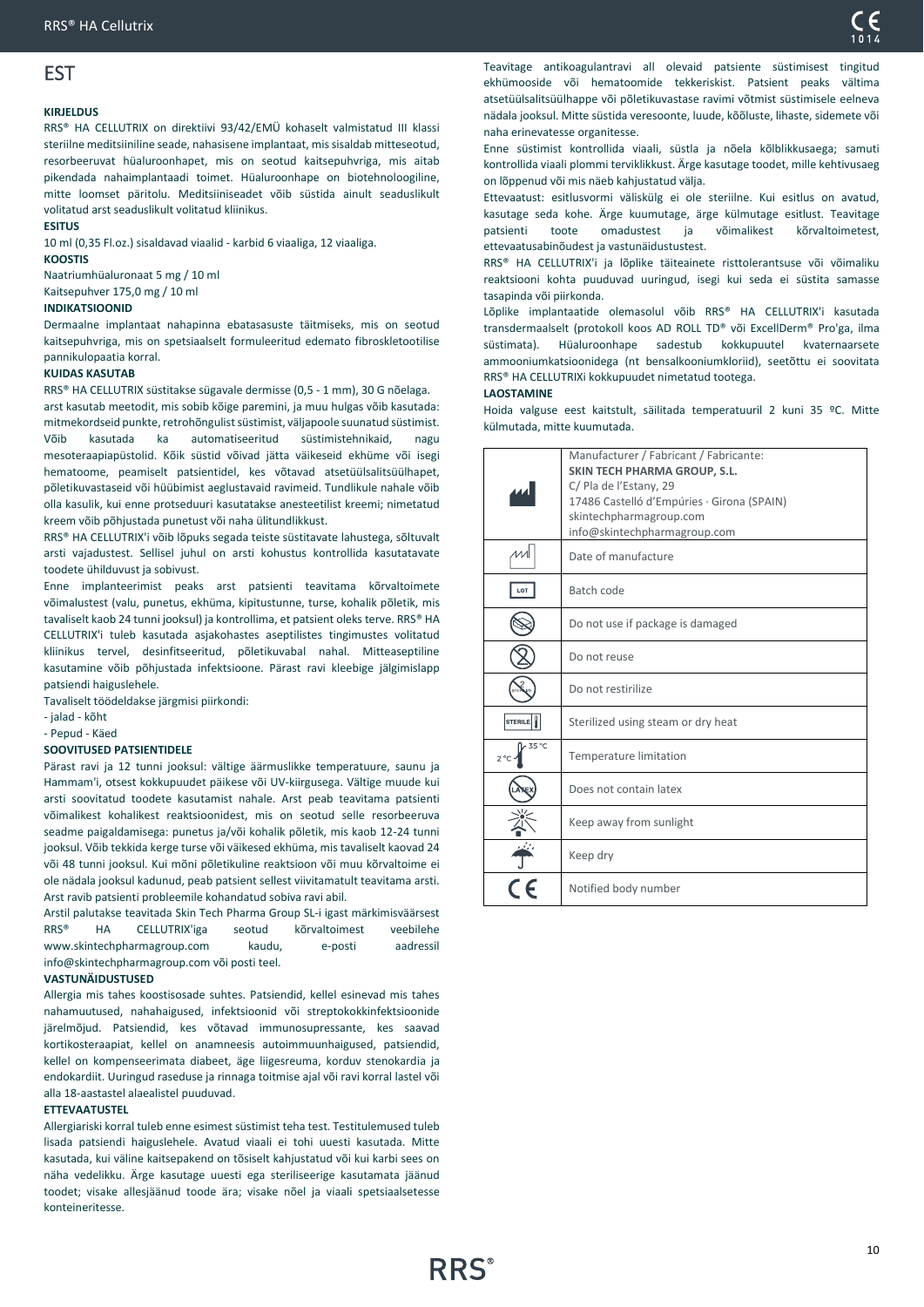# <span id="page-9-0"></span>EST

### **KIRJELDUS**

RRS® HA CELLUTRIX on direktiivi 93/42/EMÜ kohaselt valmistatud III klassi steriilne meditsiiniline seade, nahasisene implantaat, mis sisaldab mitteseotud, resorbeeruvat hüaluroonhapet, mis on seotud kaitsepuhvriga, mis aitab pikendada nahaimplantaadi toimet. Hüaluroonhape on biotehnoloogiline, mitte loomset päritolu. Meditsiiniseadet võib süstida ainult seaduslikult volitatud arst seaduslikult volitatud kliinikus.

# **ESITUS**

10 ml (0,35 Fl.oz.) sisaldavad viaalid - karbid 6 viaaliga, 12 viaaliga.

### **KOOSTIS**

Naatriumhüaluronaat 5 mg / 10 ml Kaitsepuhver 175,0 mg / 10 ml

### **INDIKATSIOONID**

Dermaalne implantaat nahapinna ebatasasuste täitmiseks, mis on seotud kaitsepuhvriga, mis on spetsiaalselt formuleeritud edemato fibroskletootilise pannikulopaatia korral.

### **KUIDAS KASUTAB**

RRS® HA CELLUTRIX süstitakse sügavale dermisse (0,5 - 1 mm), 30 G nõelaga. arst kasutab meetodit, mis sobib kõige paremini, ja muu hulgas võib kasutada: mitmekordseid punkte, retrohõngulist süstimist, väljapoole suunatud süstimist. Võib kasutada ka automatiseeritud süstimistehnikaid, nagu mesoteraapiapüstolid. Kõik süstid võivad jätta väikeseid ekhüme või isegi hematoome, peamiselt patsientidel, kes võtavad atsetüülsalitsüülhapet, põletikuvastaseid või hüübimist aeglustavaid ravimeid. Tundlikule nahale võib olla kasulik, kui enne protseduuri kasutatakse anesteetilist kreemi; nimetatud kreem võib põhjustada punetust või naha ülitundlikkust.

RRS® HA CELLUTRIX'i võib lõpuks segada teiste süstitavate lahustega, sõltuvalt arsti vajadustest. Sellisel juhul on arsti kohustus kontrollida kasutatavate toodete ühilduvust ja sobivust.

Enne implanteerimist peaks arst patsienti teavitama kõrvaltoimete võimalustest (valu, punetus, ekhüma, kipitustunne, turse, kohalik põletik, mis tavaliselt kaob 24 tunni jooksul) ja kontrollima, et patsient oleks terve. RRS® HA CELLUTRIX'i tuleb kasutada asjakohastes aseptilistes tingimustes volitatud kliinikus tervel, desinfitseeritud, põletikuvabal nahal. Mitteaseptiline kasutamine võib põhjustada infektsioone. Pärast ravi kleebige jälgimislapp patsiendi haiguslehele.

Tavaliselt töödeldakse järgmisi piirkondi:

- jalad - kõht

- Pepud - Käed

### **SOOVITUSED PATSIENTIDELE**

Pärast ravi ja 12 tunni jooksul: vältige äärmuslikke temperatuure, saunu ja Hammam'i, otsest kokkupuudet päikese või UV-kiirgusega. Vältige muude kui arsti soovitatud toodete kasutamist nahale. Arst peab teavitama patsienti võimalikest kohalikest reaktsioonidest, mis on seotud selle resorbeeruva seadme paigaldamisega: punetus ja/või kohalik põletik, mis kaob 12-24 tunni jooksul. Võib tekkida kerge turse või väikesed ekhüma, mis tavaliselt kaovad 24 või 48 tunni jooksul. Kui mõni põletikuline reaktsioon või muu kõrvaltoime ei ole nädala jooksul kadunud, peab patsient sellest viivitamatult teavitama arsti. Arst ravib patsienti probleemile kohandatud sobiva ravi abil.

Arstil palutakse teavitada Skin Tech Pharma Group SL-i igast märkimisväärsest RRS® HA CELLUTRIX'iga seotud kõrvaltoimest veebilehe www.skintechpharmagroup.com kaudu, e-posti aadressil info@skintechpharmagroup.com või posti teel.

### **VASTUNÄIDUSTUSED**

Allergia mis tahes koostisosade suhtes. Patsiendid, kellel esinevad mis tahes nahamuutused, nahahaigused, infektsioonid või streptokokkinfektsioonide järelmõjud. Patsiendid, kes võtavad immunosupressante, kes saavad kortikosteraapiat, kellel on anamneesis autoimmuunhaigused, patsiendid, kellel on kompenseerimata diabeet, äge liigesreuma, korduv stenokardia ja endokardiit. Uuringud raseduse ja rinnaga toitmise ajal või ravi korral lastel või alla 18-aastastel alaealistel puuduvad.

### **ETTEVAATUSTEL**

Allergiariski korral tuleb enne esimest süstimist teha test. Testitulemused tuleb lisada patsiendi haiguslehele. Avatud viaali ei tohi uuesti kasutada. Mitte kasutada, kui väline kaitsepakend on tõsiselt kahjustatud või kui karbi sees on näha vedelikku. Ärge kasutage uuesti ega steriliseerige kasutamata jäänud toodet; visake allesjäänud toode ära; visake nõel ja viaali spetsiaalsetesse konteineritesse.

Teavitage antikoagulantravi all olevaid patsiente süstimisest tingitud ekhümooside või hematoomide tekkeriskist. Patsient peaks vältima atsetüülsalitsüülhappe või põletikuvastase ravimi võtmist süstimisele eelneva nädala jooksul. Mitte süstida veresoonte, luude, kõõluste, lihaste, sidemete või naha erinevatesse organitesse.

Enne süstimist kontrollida viaali, süstla ja nõela kõlblikkusaega; samuti kontrollida viaali plommi terviklikkust. Ärge kasutage toodet, mille kehtivusaeg on lõppenud või mis näeb kahjustatud välja.

Ettevaatust: esitlusvormi väliskülg ei ole steriilne. Kui esitlus on avatud, kasutage seda kohe. Ärge kuumutage, ärge külmutage esitlust. Teavitage patsienti toote omadustest ja võimalikest kõrvaltoimetest, ettevaatusabinõudest ja vastunäidustustest.

RRS® HA CELLUTRIX'i ja lõplike täiteainete risttolerantsuse või võimaliku reaktsiooni kohta puuduvad uuringud, isegi kui seda ei süstita samasse tasapinda või piirkonda.

Lõplike implantaatide olemasolul võib RRS® HA CELLUTRIX'i kasutada transdermaalselt (protokoll koos AD ROLL TD® või ExcellDerm® Pro'ga, ilma süstimata). Hüaluroonhape sadestub kokkupuutel kvaternaarsete ammooniumkatsioonidega (nt bensalkooniumkloriid), seetõttu ei soovitata RRS® HA CELLUTRIXi kokkupuudet nimetatud tootega.

### **LAOSTAMINE**

Hoida valguse eest kaitstult, säilitada temperatuuril 2 kuni 35 ºC. Mitte külmutada, mitte kuumutada.

|                       | Manufacturer / Fabricant / Fabricante:<br><b>SKIN TECH PHARMA GROUP, S.L.</b><br>C/ Pla de l'Estany, 29<br>17486 Castelló d'Empúries · Girona (SPAIN) |
|-----------------------|-------------------------------------------------------------------------------------------------------------------------------------------------------|
|                       | skintechpharmagroup.com<br>info@skintechpharmagroup.com                                                                                               |
|                       | Date of manufacture                                                                                                                                   |
| LOT                   | Batch code                                                                                                                                            |
|                       | Do not use if package is damaged                                                                                                                      |
|                       | Do not reuse                                                                                                                                          |
|                       | Do not restirilize                                                                                                                                    |
| <b>STERILE</b>        | Sterilized using steam or dry heat                                                                                                                    |
| 35 °C<br>$2^{\circ}C$ | Temperature limitation                                                                                                                                |
|                       | Does not contain latex                                                                                                                                |
|                       | Keep away from sunlight                                                                                                                               |
|                       | Keep dry                                                                                                                                              |
|                       | Notified body number                                                                                                                                  |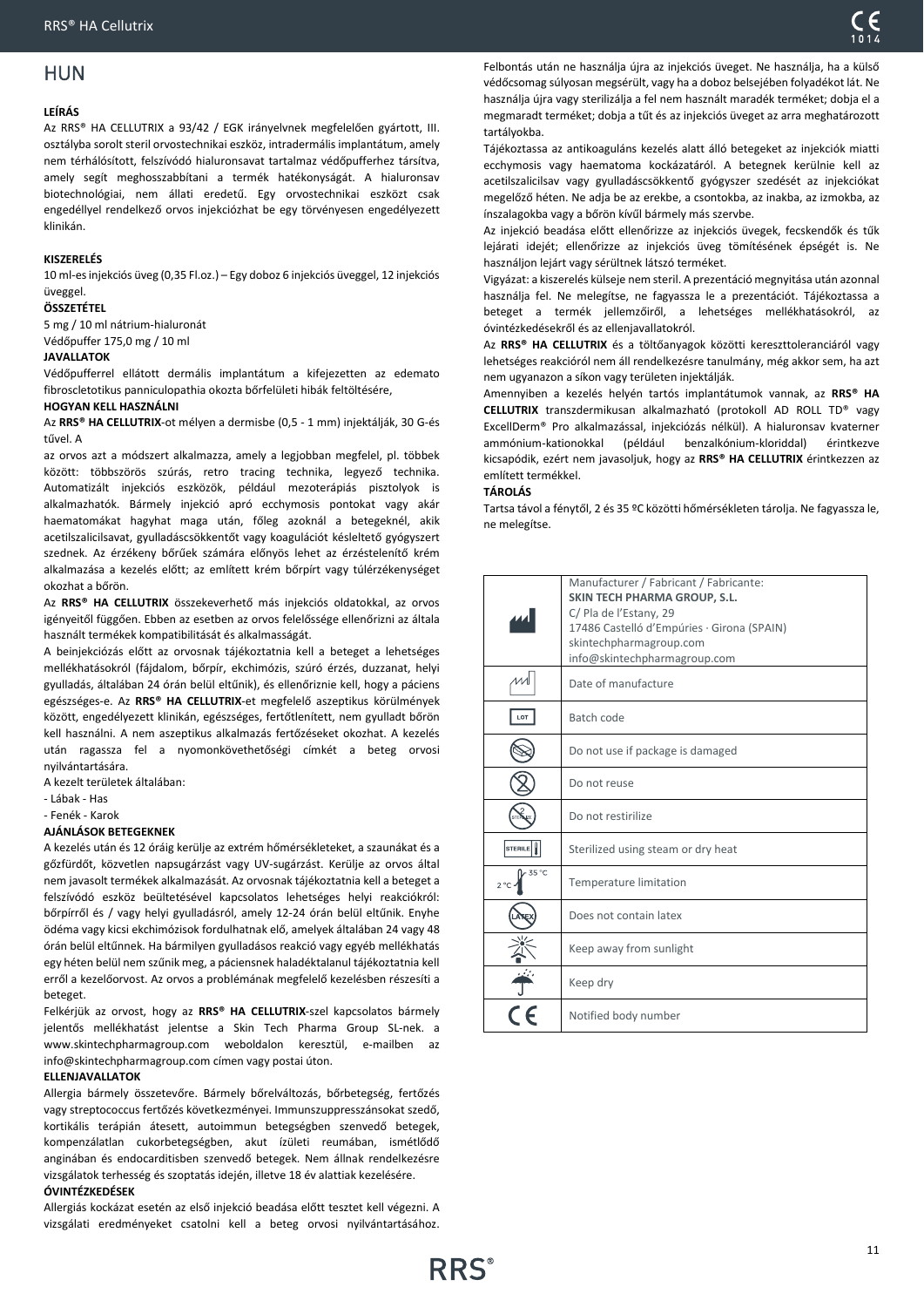# <span id="page-10-0"></span>HUN

### **LEÍRÁS**

Az RRS® HA CELLUTRIX a 93/42 / EGK irányelvnek megfelelően gyártott, III. osztályba sorolt steril orvostechnikai eszköz, intradermális implantátum, amely nem térhálósított, felszívódó hialuronsavat tartalmaz védőpufferhez társítva, amely segít meghosszabbítani a termék hatékonyságát. A hialuronsav biotechnológiai, nem állati eredetű. Egy orvostechnikai eszközt csak engedéllyel rendelkező orvos injekciózhat be egy törvényesen engedélyezett klinikán.

### **KISZERELÉS**

10 ml-es injekciós üveg (0,35 Fl.oz.) – Egy doboz 6 injekciós üveggel, 12 injekciós üveggel.

### **ÖSSZETÉTEL**

5 mg / 10 ml nátrium-hialuronát Védőpuffer 175,0 mg / 10 ml

### **JAVALLATOK**

Védőpufferrel ellátott dermális implantátum a kifejezetten az edemato fibroscletotikus panniculopathia okozta bőrfelületi hibák feltöltésére,

### **HOGYAN KELL HASZNÁLNI**

Az **RRS® HA CELLUTRIX**-ot mélyen a dermisbe (0,5 - 1 mm) injektálják, 30 G-és tűvel. A

az orvos azt a módszert alkalmazza, amely a legjobban megfelel, pl. többek között: többszörös szúrás, retro tracing technika, legyező technika. Automatizált injekciós eszközök, például mezoterápiás pisztolyok is alkalmazhatók. Bármely injekció apró ecchymosis pontokat vagy akár haematomákat hagyhat maga után, főleg azoknál a betegeknél, akik acetilszalicilsavat, gyulladáscsökkentőt vagy koagulációt késleltető gyógyszert szednek. Az érzékeny bőrűek számára előnyös lehet az érzéstelenítő krém alkalmazása a kezelés előtt; az említett krém bőrpírt vagy túlérzékenységet okozhat a bőrön.

Az **RRS® HA CELLUTRIX** összekeverhető más injekciós oldatokkal, az orvos igényeitől függően. Ebben az esetben az orvos felelőssége ellenőrizni az általa használt termékek kompatibilitását és alkalmasságát.

A beinjekciózás előtt az orvosnak tájékoztatnia kell a beteget a lehetséges mellékhatásokról (fájdalom, bőrpír, ekchimózis, szúró érzés, duzzanat, helyi gyulladás, általában 24 órán belül eltűnik), és ellenőriznie kell, hogy a páciens egészséges-e. Az **RRS® HA CELLUTRIX**-et megfelelő aszeptikus körülmények között, engedélyezett klinikán, egészséges, fertőtlenített, nem gyulladt bőrön kell használni. A nem aszeptikus alkalmazás fertőzéseket okozhat. A kezelés után ragassza fel a nyomonkövethetőségi címkét a beteg orvosi nyilvántartására.

A kezelt területek általában:

- Lábak - Has

- Fenék - Karok

### **AJÁNLÁSOK BETEGEKNEK**

A kezelés után és 12 óráig kerülje az extrém hőmérsékleteket, a szaunákat és a gőzfürdőt, közvetlen napsugárzást vagy UV-sugárzást. Kerülje az orvos által nem javasolt termékek alkalmazását. Az orvosnak tájékoztatnia kell a beteget a felszívódó eszköz beültetésével kapcsolatos lehetséges helyi reakciókról: bőrpírről és / vagy helyi gyulladásról, amely 12-24 órán belül eltűnik. Enyhe ödéma vagy kicsi ekchimózisok fordulhatnak elő, amelyek általában 24 vagy 48 órán belül eltűnnek. Ha bármilyen gyulladásos reakció vagy egyéb mellékhatás egy héten belül nem szűnik meg, a páciensnek haladéktalanul tájékoztatnia kell erről a kezelőorvost. Az orvos a problémának megfelelő kezelésben részesíti a beteget.

Felkérjük az orvost, hogy az **RRS® HA CELLUTRIX**-szel kapcsolatos bármely jelentős mellékhatást jelentse a Skin Tech Pharma Group SL-nek. a www.skintechpharmagroup.com weboldalon keresztül, e-mailben az info@skintechpharmagroup.com címen vagy postai úton.

### **ELLENJAVALLATOK**

Allergia bármely összetevőre. Bármely bőrelváltozás, bőrbetegség, fertőzés vagy streptococcus fertőzés következményei. Immunszuppresszánsokat szedő, kortikális terápián átesett, autoimmun betegségben szenvedő betegek, kompenzálatlan cukorbetegségben, akut ízületi reumában, ismétlődő anginában és endocarditisben szenvedő betegek. Nem állnak rendelkezésre vizsgálatok terhesség és szoptatás idején, illetve 18 év alattiak kezelésére.

### **ÓVINTÉZKEDÉSEK**

Allergiás kockázat esetén az első injekció beadása előtt tesztet kell végezni. A vizsgálati eredményeket csatolni kell a beteg orvosi nyilvántartásához.

Felbontás után ne használja újra az injekciós üveget. Ne használja, ha a külső védőcsomag súlyosan megsérült, vagy ha a doboz belsejében folyadékot lát. Ne használja újra vagy sterilizálja a fel nem használt maradék terméket; dobja el a megmaradt terméket; dobja a tűt és az injekciós üveget az arra meghatározott tartályokba.

Tájékoztassa az antikoaguláns kezelés alatt álló betegeket az injekciók miatti ecchymosis vagy haematoma kockázatáról. A betegnek kerülnie kell az acetilszalicilsav vagy gyulladáscsökkentő gyógyszer szedését az injekciókat megelőző héten. Ne adja be az erekbe, a csontokba, az inakba, az izmokba, az ínszalagokba vagy a bőrön kívűl bármely más szervbe.

Az injekció beadása előtt ellenőrizze az injekciós üvegek, fecskendők és tűk lejárati idejét; ellenőrizze az injekciós üveg tömítésének épségét is. Ne használjon lejárt vagy sérültnek látszó terméket.

Vigyázat: a kiszerelés külseje nem steril. A prezentáció megnyitása után azonnal használja fel. Ne melegítse, ne fagyassza le a prezentációt. Tájékoztassa a beteget a termék jellemzőiről, a lehetséges mellékhatásokról, az óvintézkedésekről és az ellenjavallatokról.

Az **RRS® HA CELLUTRIX** és a töltőanyagok közötti kereszttoleranciáról vagy lehetséges reakcióról nem áll rendelkezésre tanulmány, még akkor sem, ha azt nem ugyanazon a síkon vagy területen injektálják.

Amennyiben a kezelés helyén tartós implantátumok vannak, az **RRS® HA CELLUTRIX** transzdermikusan alkalmazható (protokoll AD ROLL TD® vagy ExcellDerm® Pro alkalmazással, injekciózás nélkül). A hialuronsav kvaterner ammónium-kationokkal (például benzalkónium-kloriddal) érintkezve kicsapódik, ezért nem javasoljuk, hogy az **RRS® HA CELLUTRIX** érintkezzen az említett termékkel.

### **TÁROLÁS**

Tartsa távol a fénytől, 2 és 35 ºC közötti hőmérsékleten tárolja. Ne fagyassza le, ne melegítse.

|                        | Manufacturer / Fabricant / Fabricante:<br>SKIN TECH PHARMA GROUP, S.L.<br>C/ Pla de l'Estany, 29<br>17486 Castelló d'Empúries · Girona (SPAIN)<br>skintechpharmagroup.com<br>info@skintechpharmagroup.com |
|------------------------|-----------------------------------------------------------------------------------------------------------------------------------------------------------------------------------------------------------|
|                        | Date of manufacture                                                                                                                                                                                       |
| LOT                    | Batch code                                                                                                                                                                                                |
|                        | Do not use if package is damaged                                                                                                                                                                          |
|                        | Do not reuse                                                                                                                                                                                              |
|                        | Do not restirilize                                                                                                                                                                                        |
| <b>STERILE</b>         | Sterilized using steam or dry heat                                                                                                                                                                        |
| 35 °C<br>$2^{\circ}$ C | Temperature limitation                                                                                                                                                                                    |
|                        | Does not contain latex                                                                                                                                                                                    |
|                        | Keep away from sunlight                                                                                                                                                                                   |
|                        | Keep dry                                                                                                                                                                                                  |
|                        | Notified body number                                                                                                                                                                                      |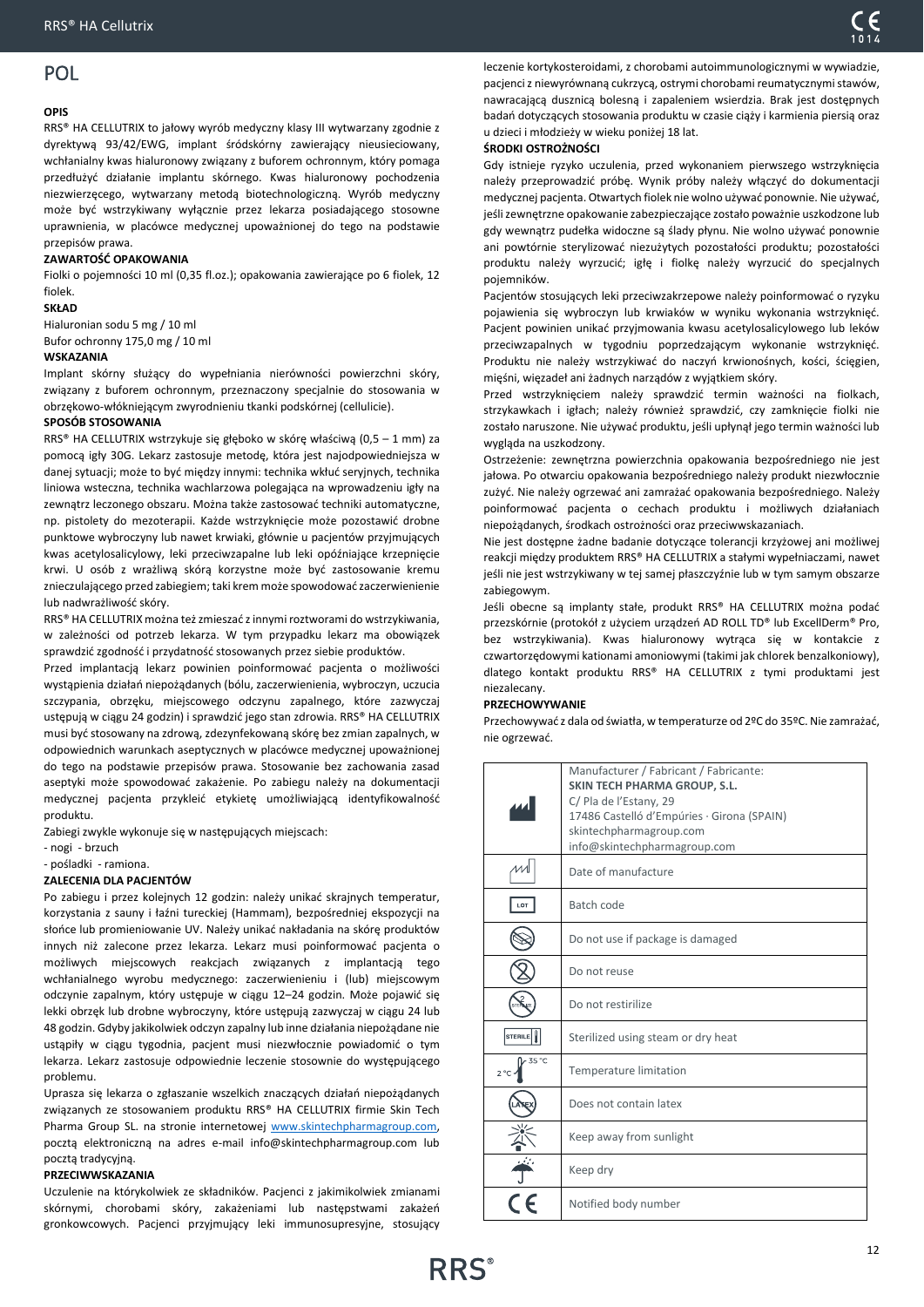# <span id="page-11-0"></span>POL

### **OPIS**

RRS® HA CELLUTRIX to jałowy wyrób medyczny klasy III wytwarzany zgodnie z dyrektywą 93/42/EWG, implant śródskórny zawierający nieusieciowany, wchłanialny kwas hialuronowy związany z buforem ochronnym, który pomaga przedłużyć działanie implantu skórnego. Kwas hialuronowy pochodzenia niezwierzęcego, wytwarzany metodą biotechnologiczną. Wyrób medyczny może być wstrzykiwany wyłącznie przez lekarza posiadającego stosowne uprawnienia, w placówce medycznej upoważnionej do tego na podstawie przepisów prawa.

### **ZAWARTOŚĆ OPAKOWANIA**

Fiolki o pojemności 10 ml (0,35 fl.oz.); opakowania zawierające po 6 fiolek, 12 fiolek.

### **SKŁAD**

Hialuronian sodu 5 mg / 10 ml

Bufor ochronny 175,0 mg / 10 ml

# **WSKAZANIA**

Implant skórny służący do wypełniania nierówności powierzchni skóry, związany z buforem ochronnym, przeznaczony specjalnie do stosowania w obrzękowo-włókniejącym zwyrodnieniu tkanki podskórnej (cellulicie).

### **SPOSÓB STOSOWANIA**

RRS® HA CELLUTRIX wstrzykuje się głęboko w skórę właściwą (0,5 – 1 mm) za pomocą igły 30G. Lekarz zastosuje metodę, która jest najodpowiedniejsza w danej sytuacji; może to być między innymi: technika wkłuć seryjnych, technika liniowa wsteczna, technika wachlarzowa polegająca na wprowadzeniu igły na zewnątrz leczonego obszaru. Można także zastosować techniki automatyczne, np. pistolety do mezoterapii. Każde wstrzyknięcie może pozostawić drobne punktowe wybroczyny lub nawet krwiaki, głównie u pacjentów przyjmujących kwas acetylosalicylowy, leki przeciwzapalne lub leki opóźniające krzepnięcie krwi. U osób z wrażliwą skórą korzystne może być zastosowanie kremu znieczulającego przed zabiegiem; taki krem może spowodować zaczerwienienie lub nadwrażliwość skóry.

RRS® HA CELLUTRIX można też zmieszać z innymi roztworami do wstrzykiwania, w zależności od potrzeb lekarza. W tym przypadku lekarz ma obowiązek sprawdzić zgodność i przydatność stosowanych przez siebie produktów.

Przed implantacją lekarz powinien poinformować pacjenta o możliwości wystąpienia działań niepożądanych (bólu, zaczerwienienia, wybroczyn, uczucia szczypania, obrzęku, miejscowego odczynu zapalnego, które zazwyczaj ustępują w ciągu 24 godzin) i sprawdzić jego stan zdrowia. RRS® HA CELLUTRIX musi być stosowany na zdrową, zdezynfekowaną skórę bez zmian zapalnych, w odpowiednich warunkach aseptycznych w placówce medycznej upoważnionej do tego na podstawie przepisów prawa. Stosowanie bez zachowania zasad aseptyki może spowodować zakażenie. Po zabiegu należy na dokumentacji medycznej pacjenta przykleić etykietę umożliwiającą identyfikowalność produktu.

Zabiegi zwykle wykonuje się w następujących miejscach:

- nogi - brzuch

# - pośladki - ramiona.

### **ZALECENIA DLA PACJENTÓW**

Po zabiegu i przez kolejnych 12 godzin: należy unikać skrajnych temperatur, korzystania z sauny i łaźni tureckiej (Hammam), bezpośredniej ekspozycji na słońce lub promieniowanie UV. Należy unikać nakładania na skórę produktów innych niż zalecone przez lekarza. Lekarz musi poinformować pacjenta o możliwych miejscowych reakcjach związanych z implantacją tego wchłanialnego wyrobu medycznego: zaczerwienieniu i (lub) miejscowym odczynie zapalnym, który ustępuje w ciągu 12–24 godzin. Może pojawić się lekki obrzęk lub drobne wybroczyny, które ustępują zazwyczaj w ciągu 24 lub 48 godzin. Gdyby jakikolwiek odczyn zapalny lub inne działania niepożądane nie ustąpiły w ciągu tygodnia, pacjent musi niezwłocznie powiadomić o tym lekarza. Lekarz zastosuje odpowiednie leczenie stosownie do występującego problemu.

Uprasza się lekarza o zgłaszanie wszelkich znaczących działań niepożądanych związanych ze stosowaniem produktu RRS® HA CELLUTRIX firmie Skin Tech Pharma Group SL. na stronie internetowej www.skintechpharmagroup.com, pocztą elektroniczną na adres e-mail info@skintechpharmagroup.com lub pocztą tradycyjną.

### **PRZECIWWSKAZANIA**

Uczulenie na którykolwiek ze składników. Pacjenci z jakimikolwiek zmianami skórnymi, chorobami skóry, zakażeniami lub następstwami zakażeń gronkowcowych. Pacjenci przyjmujący leki immunosupresyjne, stosujący

leczenie kortykosteroidami, z chorobami autoimmunologicznymi w wywiadzie, pacjenci z niewyrównaną cukrzycą, ostrymi chorobami reumatycznymi stawów, nawracającą dusznicą bolesną i zapaleniem wsierdzia. Brak jest dostępnych badań dotyczących stosowania produktu w czasie ciąży i karmienia piersią oraz u dzieci i młodzieży w wieku poniżej 18 lat.

### **ŚRODKI OSTROŻNOŚCI**

Gdy istnieje ryzyko uczulenia, przed wykonaniem pierwszego wstrzyknięcia należy przeprowadzić próbę. Wynik próby należy włączyć do dokumentacji medycznej pacjenta. Otwartych fiolek nie wolno używać ponownie. Nie używać, jeśli zewnętrzne opakowanie zabezpieczające zostało poważnie uszkodzone lub gdy wewnątrz pudełka widoczne są ślady płynu. Nie wolno używać ponownie ani powtórnie sterylizować niezużytych pozostałości produktu; pozostałości produktu należy wyrzucić; igłę i fiolkę należy wyrzucić do specjalnych pojemników.

Pacjentów stosujących leki przeciwzakrzepowe należy poinformować o ryzyku pojawienia się wybroczyn lub krwiaków w wyniku wykonania wstrzyknięć. Pacjent powinien unikać przyjmowania kwasu acetylosalicylowego lub leków przeciwzapalnych w tygodniu poprzedzającym wykonanie wstrzyknięć. Produktu nie należy wstrzykiwać do naczyń krwionośnych, kości, ścięgien, mięśni, więzadeł ani żadnych narządów z wyjątkiem skóry.

Przed wstrzyknięciem należy sprawdzić termin ważności na fiolkach, strzykawkach i igłach; należy również sprawdzić, czy zamknięcie fiolki nie zostało naruszone. Nie używać produktu, jeśli upłynął jego termin ważności lub wygląda na uszkodzony.

Ostrzeżenie: zewnętrzna powierzchnia opakowania bezpośredniego nie jest jałowa. Po otwarciu opakowania bezpośredniego należy produkt niezwłocznie zużyć. Nie należy ogrzewać ani zamrażać opakowania bezpośredniego. Należy poinformować pacjenta o cechach produktu i możliwych działaniach niepożądanych, środkach ostrożności oraz przeciwwskazaniach.

Nie jest dostępne żadne badanie dotyczące tolerancji krzyżowej ani możliwej reakcji między produktem RRS® HA CELLUTRIX a stałymi wypełniaczami, nawet jeśli nie jest wstrzykiwany w tej samej płaszczyźnie lub w tym samym obszarze zabiegowym.

Jeśli obecne są implanty stałe, produkt RRS® HA CELLUTRIX można podać przezskórnie (protokół z użyciem urządzeń AD ROLL TD® lub ExcellDerm® Pro, bez wstrzykiwania). Kwas hialuronowy wytrąca się w kontakcie z czwartorzędowymi kationami amoniowymi (takimi jak chlorek benzalkoniowy), dlatego kontakt produktu RRS® HA CELLUTRIX z tymi produktami jest niezalecany.

### **PRZECHOWYWANIE**

Przechowywać z dala od światła, w temperaturze od 2ºC do 35ºC. Nie zamrażać, nie ogrzewać.

|                        | Manufacturer / Fabricant / Fabricante:<br>SKIN TECH PHARMA GROUP, S.L.<br>C/ Pla de l'Estany, 29<br>17486 Castelló d'Empúries · Girona (SPAIN)<br>skintechpharmagroup.com<br>info@skintechpharmagroup.com |
|------------------------|-----------------------------------------------------------------------------------------------------------------------------------------------------------------------------------------------------------|
|                        | Date of manufacture                                                                                                                                                                                       |
|                        | Batch code                                                                                                                                                                                                |
|                        | Do not use if package is damaged                                                                                                                                                                          |
|                        | Do not reuse                                                                                                                                                                                              |
|                        | Do not restirilize                                                                                                                                                                                        |
| <b>STERILE</b>         | Sterilized using steam or dry heat                                                                                                                                                                        |
| 35 °C<br>$2^{\circ}$ C | Temperature limitation                                                                                                                                                                                    |
|                        | Does not contain latex                                                                                                                                                                                    |
|                        | Keep away from sunlight                                                                                                                                                                                   |
|                        | Keep dry                                                                                                                                                                                                  |
|                        | Notified body number                                                                                                                                                                                      |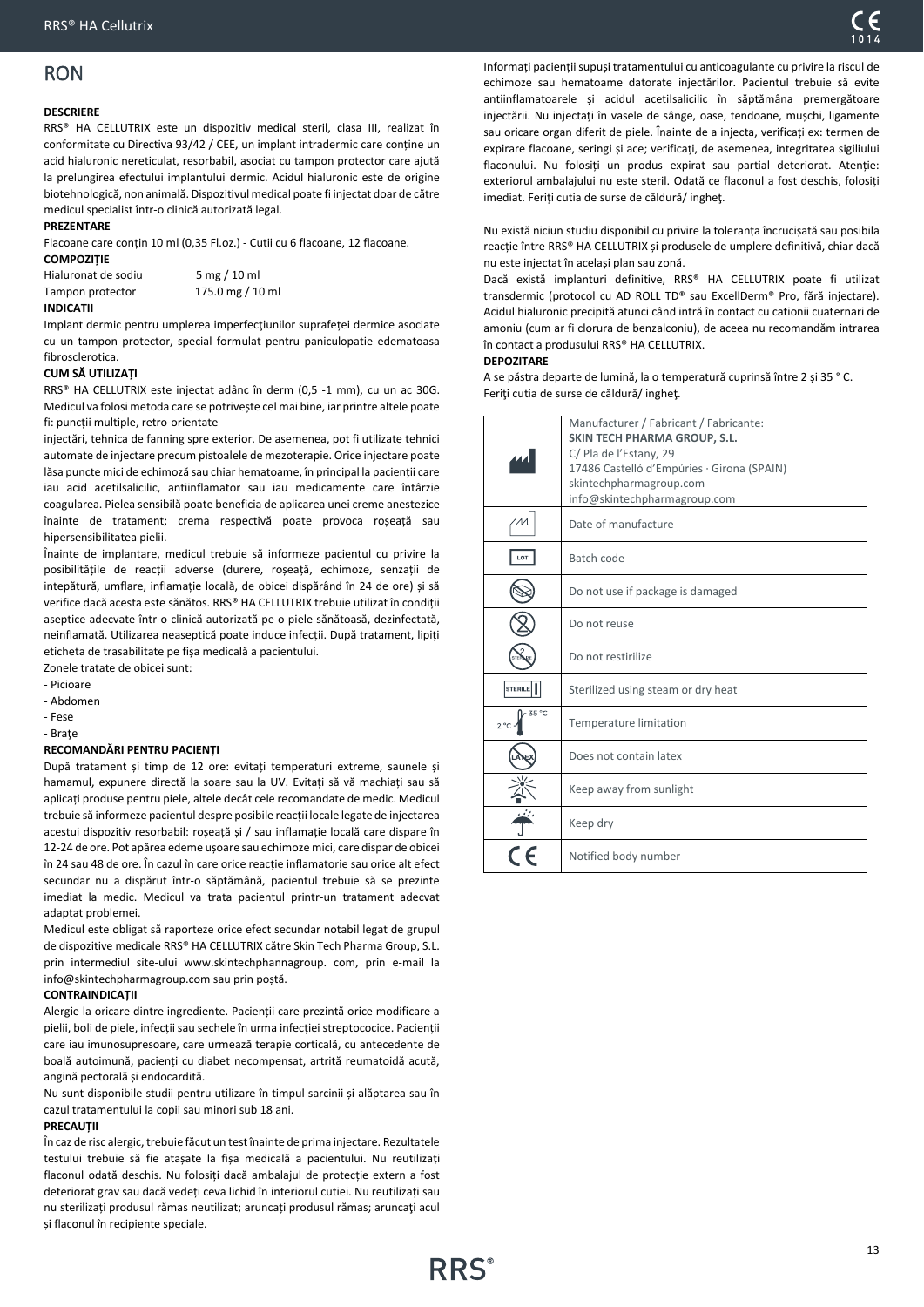# <span id="page-12-0"></span>RON

### **DESCRIERE**

RRS® HA CELLUTRIX este un dispozitiv medical steril, clasa III, realizat în conformitate cu Directiva 93/42 / CEE, un implant intradermic care conține un acid hialuronic nereticulat, resorbabil, asociat cu tampon protector care ajută la prelungirea efectului implantului dermic. Acidul hialuronic este de origine biotehnologică, non animală. Dispozitivul medical poate fi injectat doar de către medicul specialist într-o clinică autorizată legal.

# **PREZENTARE**

Flacoane care conțin 10 ml (0,35 Fl.oz.) - Cutii cu 6 flacoane, 12 flacoane.

| <b>COMPOZITIE</b>   |                  |
|---------------------|------------------|
| Hialuronat de sodiu | $5$ mg $/$ 10 ml |
| Tampon protector    | 175.0 mg / 10 ml |
|                     |                  |

### **INDICATII**

Implant dermic pentru umplerea imperfecţiunilor suprafeței dermice asociate cu un tampon protector, special formulat pentru paniculopatie edematoasa fibrosclerotica.

### **CUM SĂ UTILIZAȚI**

RRS® HA CELLUTRIX este injectat adânc în derm (0,5 -1 mm), cu un ac 30G. Medicul va folosi metoda care se potrivește cel mai bine, iar printre altele poate fi: puncții multiple, retro-orientate

injectări, tehnica de fanning spre exterior. De asemenea, pot fi utilizate tehnici automate de injectare precum pistoalele de mezoterapie. Orice injectare poate lăsa puncte mici de echimoză sau chiar hematoame, în principal la pacienții care iau acid acetilsalicilic, antiinflamator sau iau medicamente care întârzie coagularea. Pielea sensibilă poate beneficia de aplicarea unei creme anestezice înainte de tratament; crema respectivă poate provoca roșeață sau hipersensibilitatea pielii.

Înainte de implantare, medicul trebuie să informeze pacientul cu privire la posibilitățile de reacții adverse (durere, roșeață, echimoze, senzații de intepătură, umflare, inflamație locală, de obicei dispărând în 24 de ore) și să verifice dacă acesta este sănătos. RRS® HA CELLUTRIX trebuie utilizat în condiții aseptice adecvate într-o clinică autorizată pe o piele sănătoasă, dezinfectată, neinflamată. Utilizarea neaseptică poate induce infecții. După tratament, lipiți eticheta de trasabilitate pe fișa medicală a pacientului.

Zonele tratate de obicei sunt:

- Picioare

- Abdomen

- Fese

- Braţe

### **RECOMANDĂRI PENTRU PACIENȚI**

După tratament și timp de 12 ore: evitați temperaturi extreme, saunele și hamamul, expunere directă la soare sau la UV. Evitați să vă machiați sau să aplicați produse pentru piele, altele decât cele recomandate de medic. Medicul trebuie să informeze pacientul despre posibile reacții locale legate de injectarea acestui dispozitiv resorbabil: roșeață și / sau inflamație locală care dispare în 12-24 de ore. Pot apărea edeme ușoare sau echimoze mici, care dispar de obicei în 24 sau 48 de ore. În cazul în care orice reacție inflamatorie sau orice alt efect secundar nu a dispărut într-o săptămână, pacientul trebuie să se prezinte imediat la medic. Medicul va trata pacientul printr-un tratament adecvat adaptat problemei.

Medicul este obligat să raporteze orice efect secundar notabil legat de grupul de dispozitive medicale RRS® HA CELLUTRIX către Skin Tech Pharma Group, S.L. prin intermediul site-ului www.skintechphannagroup. com, prin e-mail la info@skintechpharmagroup.com sau prin poștă.

### **CONTRAINDICAȚII**

Alergie la oricare dintre ingrediente. Pacienții care prezintă orice modificare a pielii, boli de piele, infecții sau sechele ȋn urma infecției streptococice. Pacienții care iau imunosupresoare, care urmează terapie corticală, cu antecedente de boală autoimună, pacienți cu diabet necompensat, artrită reumatoidă acută, angină pectorală și endocardită.

Nu sunt disponibile studii pentru utilizare în timpul sarcinii și alăptarea sau în cazul tratamentului la copii sau minori sub 18 ani.

### **PRECAUȚII**

În caz de risc alergic, trebuie făcut un test înainte de prima injectare. Rezultatele testului trebuie să fie atașate la fișa medicală a pacientului. Nu reutilizați flaconul odată deschis. Nu folosiți dacă ambalajul de protecție extern a fost deteriorat grav sau dacă vedeți ceva lichid în interiorul cutiei. Nu reutilizați sau nu sterilizați produsul rămas neutilizat; aruncați produsul rămas; aruncaţi acul și flaconul în recipiente speciale.

Informați pacienții supuși tratamentului cu anticoagulante cu privire la riscul de echimoze sau hematoame datorate injectărilor. Pacientul trebuie să evite antiinflamatoarele și acidul acetilsalicilic în săptămâna premergătoare injectării. Nu injectați în vasele de sânge, oase, tendoane, mușchi, ligamente sau oricare organ diferit de piele. Înainte de a injecta, verificați ex: termen de expirare flacoane, seringi și ace; verificați, de asemenea, integritatea sigiliului flaconului. Nu folosiți un produs expirat sau partial deteriorat. Atenție: exteriorul ambalajului nu este steril. Odată ce flaconul a fost deschis, folosiți imediat. Feriţi cutia de surse de căldură/ ingheţ.

Nu există niciun studiu disponibil cu privire la toleranța încrucișată sau posibila reacție între RRS® HA CELLUTRIX și produsele de umplere definitivă, chiar dacă nu este injectat în același plan sau zonă.

Dacă există implanturi definitive, RRS® HA CELLUTRIX poate fi utilizat transdermic (protocol cu AD ROLL TD® sau ExcellDerm® Pro, fără injectare). Acidul hialuronic precipită atunci când intră în contact cu cationii cuaternari de amoniu (cum ar fi clorura de benzalconiu), de aceea nu recomandăm intrarea în contact a produsului RRS® HA CELLUTRIX.

### **DEPOZITARE**

A se păstra departe de lumină, la o temperatură cuprinsă între 2 și 35 ° C. Feriţi cutia de surse de căldură/ ingheţ.

|                        | Manufacturer / Fabricant / Fabricante:                               |
|------------------------|----------------------------------------------------------------------|
|                        | <b>SKIN TECH PHARMA GROUP, S.L.</b>                                  |
|                        | C/ Pla de l'Estany, 29<br>17486 Castelló d'Empúries · Girona (SPAIN) |
|                        | skintechpharmagroup.com                                              |
|                        | info@skintechpharmagroup.com                                         |
|                        | Date of manufacture                                                  |
| LOT                    | Batch code                                                           |
|                        | Do not use if package is damaged                                     |
|                        | Do not reuse                                                         |
|                        | Do not restirilize                                                   |
| STERILE                | Sterilized using steam or dry heat                                   |
| 35 °C<br>$2^{\circ}$ C | Temperature limitation                                               |
|                        | Does not contain latex                                               |
|                        | Keep away from sunlight                                              |
|                        | Keep dry                                                             |
|                        | Notified body number                                                 |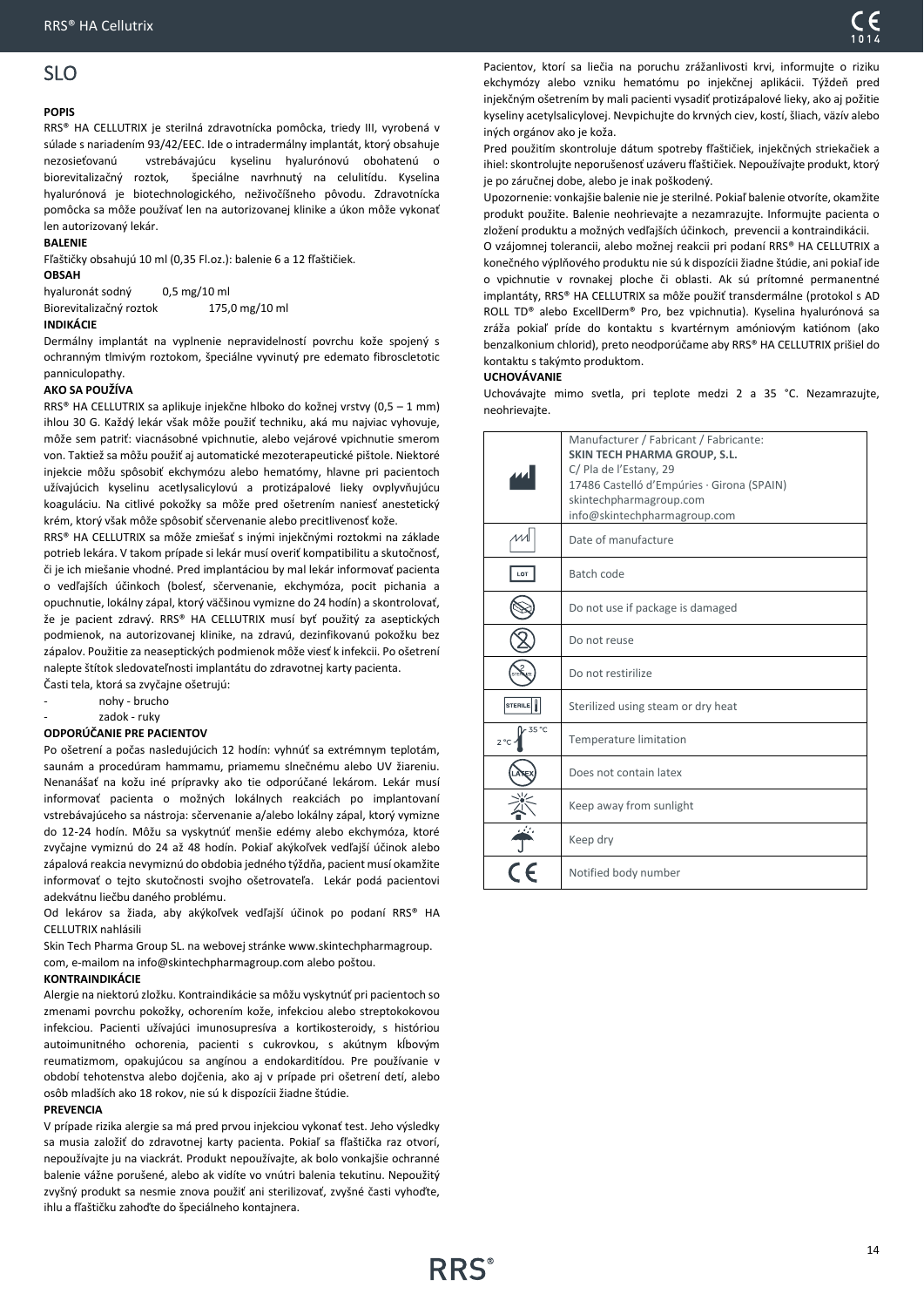### <span id="page-13-0"></span>**POPIS**

RRS® HA CELLUTRIX je sterilná zdravotnícka pomôcka, triedy III, vyrobená v súlade s nariadením 93/42/EEC. Ide o intradermálny implantát, ktorý obsahuje nezosieťovanú vstrebávajúcu kyselinu hyalurónovú obohatenú o biorevitalizačný roztok, špeciálne navrhnutý na celulitídu. Kyselina hyalurónová je biotechnologického, neživočíšneho pôvodu. Zdravotnícka pomôcka sa môže používať len na autorizovanej klinike a úkon môže vykonať len autorizovaný lekár.

### **BALENIE**

Fľaštičky obsahujú 10 ml (0,35 Fl.oz.): balenie 6 a 12 fľaštičiek.

# **OBSAH**

hyaluronát sodný 0,5 mg/10 ml Biorevitalizačný roztok 175,0 mg/10 ml

### **INDIKÁCIE**

Dermálny implantát na vyplnenie nepravidelností povrchu kože spojený s ochranným tlmivým roztokom, špeciálne vyvinutý pre edemato fibroscletotic panniculopathy.

### **AKO SA POUŽÍVA**

RRS® HA CELLUTRIX sa aplikuje injekčne hlboko do kožnej vrstvy (0,5 – 1 mm) ihlou 30 G. Každý lekár však môže použiť techniku, aká mu najviac vyhovuje, môže sem patriť: viacnásobné vpichnutie, alebo vejárové vpichnutie smerom von. Taktiež sa môžu použiť aj automatické mezoterapeutické pištole. Niektoré injekcie môžu spôsobiť ekchymózu alebo hematómy, hlavne pri pacientoch užívajúcich kyselinu acetlysalicylovú a protizápalové lieky ovplyvňujúcu koaguláciu. Na citlivé pokožky sa môže pred ošetrením naniesť anestetický krém, ktorý však môže spôsobiť sčervenanie alebo precitlivenosť kože.

RRS® HA CELLUTRIX sa môže zmiešať s inými injekčnými roztokmi na základe potrieb lekára. V takom prípade si lekár musí overiť kompatibilitu a skutočnosť, či je ich miešanie vhodné. Pred implantáciou by mal lekár informovať pacienta o vedľajších účinkoch (bolesť, sčervenanie, ekchymóza, pocit pichania a opuchnutie, lokálny zápal, ktorý väčšinou vymizne do 24 hodín) a skontrolovať, že je pacient zdravý. RRS® HA CELLUTRIX musí byť použitý za aseptických podmienok, na autorizovanej klinike, na zdravú, dezinfikovanú pokožku bez zápalov. Použitie za neaseptických podmienok môže viesť k infekcii. Po ošetrení nalepte štítok sledovateľnosti implantátu do zdravotnej karty pacienta.

Časti tela, ktorá sa zvyčajne ošetrujú: nohy - brucho

zadok - ruky

### **ODPORÚČANIE PRE PACIENTOV**

Po ošetrení a počas nasledujúcich 12 hodín: vyhnúť sa extrémnym teplotám, saunám a procedúram hammamu, priamemu slnečnému alebo UV žiareniu. Nenanášať na kožu iné prípravky ako tie odporúčané lekárom. Lekár musí informovať pacienta o možných lokálnych reakciách po implantovaní vstrebávajúceho sa nástroja: sčervenanie a/alebo lokálny zápal, ktorý vymizne do 12-24 hodín. Môžu sa vyskytnúť menšie edémy alebo ekchymóza, ktoré zvyčajne vymiznú do 24 až 48 hodín. Pokiaľ akýkoľvek vedľajší účinok alebo zápalová reakcia nevymiznú do obdobia jedného týždňa, pacient musí okamžite informovať o tejto skutočnosti svojho ošetrovateľa. Lekár podá pacientovi adekvátnu liečbu daného problému.

Od lekárov sa žiada, aby akýkoľvek vedľajší účinok po podaní RRS® HA CELLUTRIX nahlásili

Skin Tech Pharma Group SL. na webovej stránke www.skintechpharmagroup. com, e-mailom na info@skintechpharmagroup.com alebo poštou.

### **KONTRAINDIKÁCIE**

Alergie na niektorú zložku. Kontraindikácie sa môžu vyskytnúť pri pacientoch so zmenami povrchu pokožky, ochorením kože, infekciou alebo streptokokovou infekciou. Pacienti užívajúci imunosupresíva a kortikosteroidy, s históriou autoimunitného ochorenia, pacienti s cukrovkou, s akútnym kĺbovým reumatizmom, opakujúcou sa angínou a endokarditídou. Pre používanie v období tehotenstva alebo dojčenia, ako aj v prípade pri ošetrení detí, alebo osôb mladších ako 18 rokov, nie sú k dispozícii žiadne štúdie.

### **PREVENCIA**

V prípade rizika alergie sa má pred prvou injekciou vykonať test. Jeho výsledky sa musia založiť do zdravotnej karty pacienta. Pokiaľ sa fľaštička raz otvorí, nepoužívajte ju na viackrát. Produkt nepoužívajte, ak bolo vonkajšie ochranné balenie vážne porušené, alebo ak vidíte vo vnútri balenia tekutinu. Nepoužitý zvyšný produkt sa nesmie znova použiť ani sterilizovať, zvyšné časti vyhoďte, ihlu a fľaštičku zahoďte do špeciálneho kontajnera.

Pacientov, ktorí sa liečia na poruchu zrážanlivosti krvi, informujte o riziku ekchymózy alebo vzniku hematómu po injekčnej aplikácii. Týždeň pred injekčným ošetrením by mali pacienti vysadiť protizápalové lieky, ako aj požitie kyseliny acetylsalicylovej. Nevpichujte do krvných ciev, kostí, šliach, väzív alebo iných orgánov ako je koža.

Pred použitím skontroluje dátum spotreby fľaštičiek, injekčných striekačiek a ihiel: skontrolujte neporušenosť uzáveru fľaštičiek. Nepoužívajte produkt, ktorý je po záručnej dobe, alebo je inak poškodený.

Upozornenie: vonkajšie balenie nie je sterilné. Pokiaľ balenie otvoríte, okamžite produkt použite. Balenie neohrievajte a nezamrazujte. Informujte pacienta o zložení produktu a možných vedľajších účinkoch, prevencii a kontraindikácii.

O vzájomnej tolerancii, alebo možnej reakcii pri podaní RRS® HA CELLUTRIX a konečného výplňového produktu nie sú k dispozícii žiadne štúdie, ani pokiaľ ide o vpichnutie v rovnakej ploche či oblasti. Ak sú prítomné permanentné implantáty, RRS® HA CELLUTRIX sa môže použiť transdermálne (protokol s AD ROLL TD® alebo ExcellDerm® Pro, bez vpichnutia). Kyselina hyalurónová sa zráža pokiaľ príde do kontaktu s kvartérnym amóniovým katiónom (ako benzalkonium chlorid), preto neodporúčame aby RRS® HA CELLUTRIX prišiel do kontaktu s takýmto produktom.

### **UCHOVÁVANIE**

Uchovávajte mimo svetla, pri teplote medzi 2 a 35 °C. Nezamrazujte, neohrievajte.

|                       | Manufacturer / Fabricant / Fabricante:<br>SKIN TECH PHARMA GROUP, S.L.<br>C/ Pla de l'Estany, 29<br>17486 Castelló d'Empúries · Girona (SPAIN)<br>skintechpharmagroup.com<br>info@skintechpharmagroup.com |
|-----------------------|-----------------------------------------------------------------------------------------------------------------------------------------------------------------------------------------------------------|
|                       | Date of manufacture                                                                                                                                                                                       |
| LOT                   | Batch code                                                                                                                                                                                                |
|                       | Do not use if package is damaged                                                                                                                                                                          |
|                       | Do not reuse                                                                                                                                                                                              |
|                       | Do not restirilize                                                                                                                                                                                        |
| <b>STERILE</b>        | Sterilized using steam or dry heat                                                                                                                                                                        |
| 35 °C<br>$2^{\circ}C$ | <b>Temperature limitation</b>                                                                                                                                                                             |
|                       | Does not contain latex                                                                                                                                                                                    |
|                       | Keep away from sunlight                                                                                                                                                                                   |
|                       | Keep dry                                                                                                                                                                                                  |
|                       | Notified body number                                                                                                                                                                                      |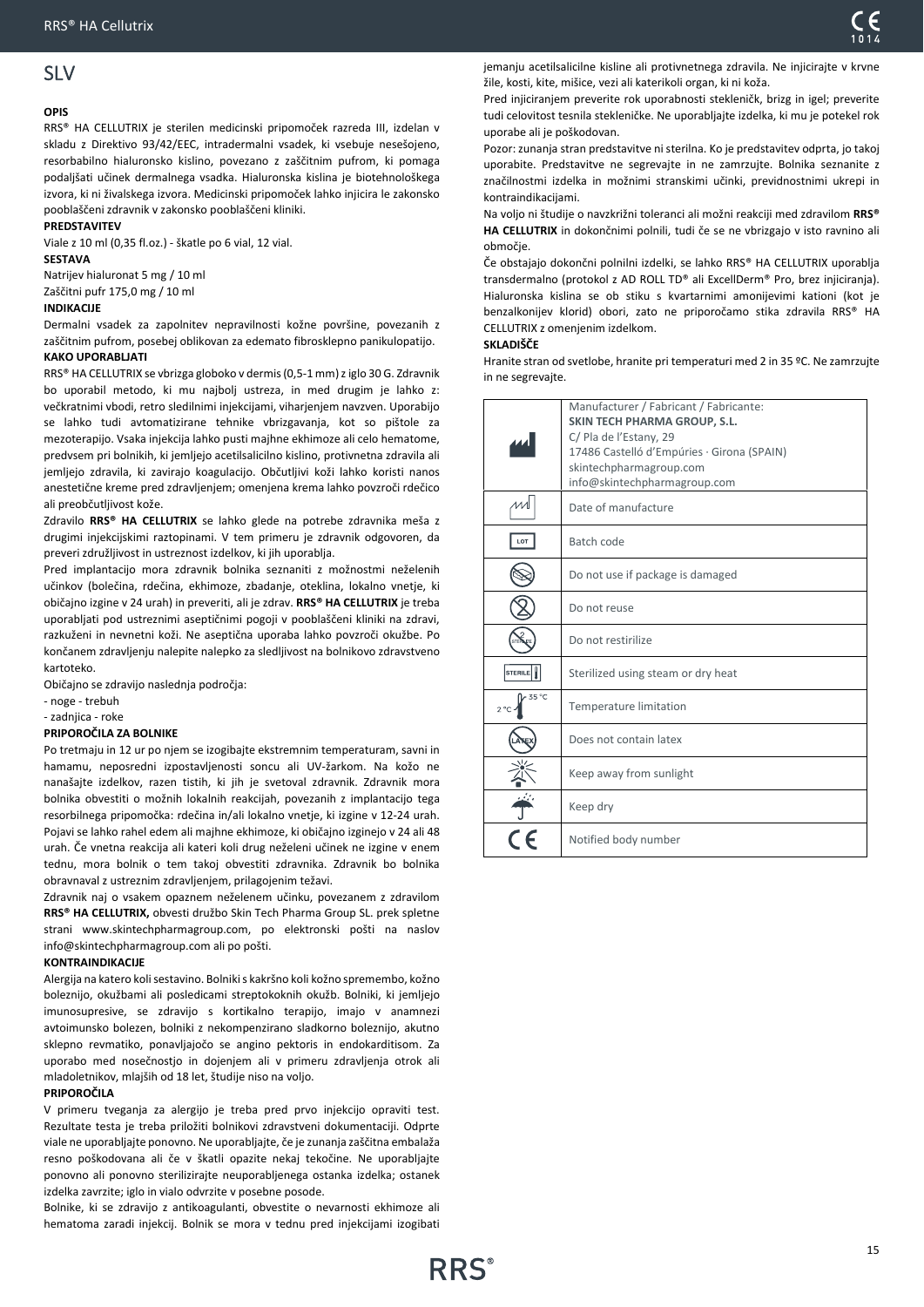# <span id="page-14-0"></span>SLV

### **OPIS**

RRS® HA CELLUTRIX je sterilen medicinski pripomoček razreda III, izdelan v skladu z Direktivo 93/42/EEC, intradermalni vsadek, ki vsebuje nesešojeno, resorbabilno hialuronsko kislino, povezano z zaščitnim pufrom, ki pomaga podaljšati učinek dermalnega vsadka. Hialuronska kislina je biotehnološkega izvora, ki ni živalskega izvora. Medicinski pripomoček lahko injicira le zakonsko pooblaščeni zdravnik v zakonsko pooblaščeni kliniki.

### **PREDSTAVITEV**

Viale z 10 ml (0,35 fl.oz.) - škatle po 6 vial, 12 vial. **SESTAVA**

Natrijev hialuronat 5 mg / 10 ml Zaščitni pufr 175,0 mg / 10 ml

### **INDIKACIJE**

Dermalni vsadek za zapolnitev nepravilnosti kožne površine, povezanih z zaščitnim pufrom, posebej oblikovan za edemato fibrosklepno panikulopatijo. **KAKO UPORABLJATI**

RRS® HA CELLUTRIX se vbrizga globoko v dermis (0,5-1 mm) z iglo 30 G. Zdravnik bo uporabil metodo, ki mu najbolj ustreza, in med drugim je lahko z: večkratnimi vbodi, retro sledilnimi injekcijami, viharjenjem navzven. Uporabijo se lahko tudi avtomatizirane tehnike vbrizgavanja, kot so pištole za mezoterapijo. Vsaka injekcija lahko pusti majhne ekhimoze ali celo hematome, predvsem pri bolnikih, ki jemljejo acetilsalicilno kislino, protivnetna zdravila ali jemljejo zdravila, ki zavirajo koagulacijo. Občutljivi koži lahko koristi nanos anestetične kreme pred zdravljenjem; omenjena krema lahko povzroči rdečico ali preobčutljivost kože.

Zdravilo **RRS® HA CELLUTRIX** se lahko glede na potrebe zdravnika meša z drugimi injekcijskimi raztopinami. V tem primeru je zdravnik odgovoren, da preveri združljivost in ustreznost izdelkov, ki jih uporablja.

Pred implantacijo mora zdravnik bolnika seznaniti z možnostmi neželenih učinkov (bolečina, rdečina, ekhimoze, zbadanje, oteklina, lokalno vnetje, ki običajno izgine v 24 urah) in preveriti, ali je zdrav. **RRS® HA CELLUTRIX** je treba uporabljati pod ustreznimi aseptičnimi pogoji v pooblaščeni kliniki na zdravi, razkuženi in nevnetni koži. Ne aseptična uporaba lahko povzroči okužbe. Po končanem zdravljenju nalepite nalepko za sledljivost na bolnikovo zdravstveno kartoteko.

Običajno se zdravijo naslednja področja:

- noge - trebuh

- zadnjica - roke

### **PRIPOROČILA ZA BOLNIKE**

Po tretmaju in 12 ur po njem se izogibajte ekstremnim temperaturam, savni in hamamu, neposredni izpostavljenosti soncu ali UV-žarkom. Na kožo ne nanašajte izdelkov, razen tistih, ki jih je svetoval zdravnik. Zdravnik mora bolnika obvestiti o možnih lokalnih reakcijah, povezanih z implantacijo tega resorbilnega pripomočka: rdečina in/ali lokalno vnetje, ki izgine v 12-24 urah. Pojavi se lahko rahel edem ali majhne ekhimoze, ki običajno izginejo v 24 ali 48 urah. Če vnetna reakcija ali kateri koli drug neželeni učinek ne izgine v enem tednu, mora bolnik o tem takoj obvestiti zdravnika. Zdravnik bo bolnika obravnaval z ustreznim zdravljenjem, prilagojenim težavi.

Zdravnik naj o vsakem opaznem neželenem učinku, povezanem z zdravilom **RRS® HA CELLUTRIX,** obvesti družbo Skin Tech Pharma Group SL. prek spletne strani www.skintechpharmagroup.com, po elektronski pošti na naslov info@skintechpharmagroup.com ali po pošti.

### **KONTRAINDIKACIJE**

Alergija na katero koli sestavino. Bolniki s kakršno koli kožno spremembo, kožno boleznijo, okužbami ali posledicami streptokoknih okužb. Bolniki, ki jemljejo imunosupresive, se zdravijo s kortikalno terapijo, imajo v anamnezi avtoimunsko bolezen, bolniki z nekompenzirano sladkorno boleznijo, akutno sklepno revmatiko, ponavljajočo se angino pektoris in endokarditisom. Za uporabo med nosečnostjo in dojenjem ali v primeru zdravljenja otrok ali mladoletnikov, mlajših od 18 let, študije niso na voljo.

### **PRIPOROČILA**

V primeru tveganja za alergijo je treba pred prvo injekcijo opraviti test. Rezultate testa je treba priložiti bolnikovi zdravstveni dokumentaciji. Odprte viale ne uporabljajte ponovno. Ne uporabljajte, če je zunanja zaščitna embalaža resno poškodovana ali če v škatli opazite nekaj tekočine. Ne uporabljajte ponovno ali ponovno sterilizirajte neuporabljenega ostanka izdelka; ostanek izdelka zavrzite; iglo in vialo odvrzite v posebne posode.

Bolnike, ki se zdravijo z antikoagulanti, obvestite o nevarnosti ekhimoze ali hematoma zaradi injekcij. Bolnik se mora v tednu pred injekcijami izogibati

jemanju acetilsalicilne kisline ali protivnetnega zdravila. Ne injicirajte v krvne žile, kosti, kite, mišice, vezi ali katerikoli organ, ki ni koža.

Pred injiciranjem preverite rok uporabnosti stekleničk, brizg in igel; preverite tudi celovitost tesnila stekleničke. Ne uporabljajte izdelka, ki mu je potekel rok uporabe ali je poškodovan.

Pozor: zunanja stran predstavitve ni sterilna. Ko je predstavitev odprta, jo takoj uporabite. Predstavitve ne segrevajte in ne zamrzujte. Bolnika seznanite z značilnostmi izdelka in možnimi stranskimi učinki, previdnostnimi ukrepi in kontraindikacijami.

Na voljo ni študije o navzkrižni toleranci ali možni reakciji med zdravilom **RRS® HA CELLUTRIX** in dokončnimi polnili, tudi če se ne vbrizgajo v isto ravnino ali območje.

Če obstajajo dokončni polnilni izdelki, se lahko RRS® HA CELLUTRIX uporablja transdermalno (protokol z AD ROLL TD® ali ExcellDerm® Pro, brez injiciranja). Hialuronska kislina se ob stiku s kvartarnimi amonijevimi kationi (kot je benzalkonijev klorid) obori, zato ne priporočamo stika zdravila RRS® HA CELLUTRIX z omenjenim izdelkom.

### **SKLADIŠČE**

Hranite stran od svetlobe, hranite pri temperaturi med 2 in 35 ºC. Ne zamrzujte in ne segrevajte.

|                       | Manufacturer / Fabricant / Fabricante:     |
|-----------------------|--------------------------------------------|
|                       | <b>SKIN TECH PHARMA GROUP, S.L.</b>        |
|                       | C/ Pla de l'Estany, 29                     |
|                       | 17486 Castelló d'Empúries · Girona (SPAIN) |
|                       | skintechpharmagroup.com                    |
|                       | info@skintechpharmagroup.com               |
|                       | Date of manufacture                        |
| LOT                   | Batch code                                 |
|                       | Do not use if package is damaged           |
|                       | Do not reuse                               |
|                       | Do not restirilize                         |
| <b>STERILE</b>        | Sterilized using steam or dry heat         |
| 35 °C<br>$2^{\circ}C$ | Temperature limitation                     |
|                       | Does not contain latex                     |
|                       | Keep away from sunlight                    |
|                       | Keep dry                                   |
|                       | Notified body number                       |